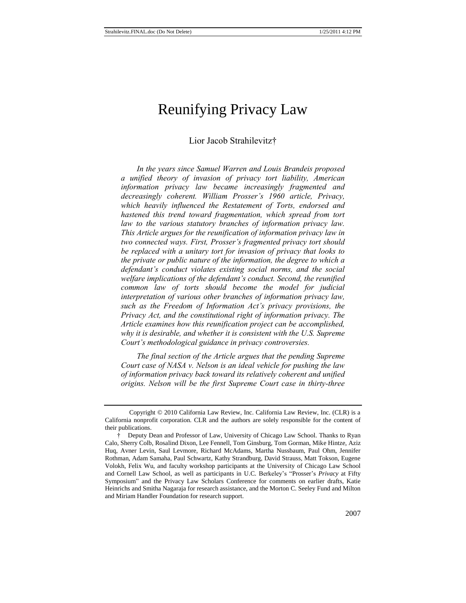# Reunifying Privacy Law

Lior Jacob Strahilevitz†

*In the years since Samuel Warren and Louis Brandeis proposed a unified theory of invasion of privacy tort liability, American information privacy law became increasingly fragmented and decreasingly coherent. William Prosser's 1960 article, Privacy, which heavily influenced the Restatement of Torts, endorsed and hastened this trend toward fragmentation, which spread from tort law to the various statutory branches of information privacy law. This Article argues for the reunification of information privacy law in two connected ways. First, Prosser's fragmented privacy tort should be replaced with a unitary tort for invasion of privacy that looks to the private or public nature of the information, the degree to which a defendant's conduct violates existing social norms, and the social welfare implications of the defendant's conduct. Second, the reunified common law of torts should become the model for judicial interpretation of various other branches of information privacy law, such as the Freedom of Information Act's privacy provisions, the Privacy Act, and the constitutional right of information privacy. The Article examines how this reunification project can be accomplished, why it is desirable, and whether it is consistent with the U.S. Supreme Court's methodological guidance in privacy controversies.*

*The final section of the Article argues that the pending Supreme Court case of NASA v. Nelson is an ideal vehicle for pushing the law of information privacy back toward its relatively coherent and unified origins. Nelson will be the first Supreme Court case in thirty-three* 

Copyright © 2010 California Law Review, Inc. California Law Review, Inc. (CLR) is a California nonprofit corporation. CLR and the authors are solely responsible for the content of their publications.

<sup>†</sup> Deputy Dean and Professor of Law, University of Chicago Law School. Thanks to Ryan Calo, Sherry Colb, Rosalind Dixon, Lee Fennell, Tom Ginsburg, Tom Gorman, Mike Hintze, Aziz Huq, Avner Levin, Saul Levmore, Richard McAdams, Martha Nussbaum, Paul Ohm, Jennifer Rothman, Adam Samaha, Paul Schwartz, Kathy Strandburg, David Strauss, Matt Tokson, Eugene Volokh, Felix Wu, and faculty workshop participants at the University of Chicago Law School and Cornell Law School, as well as participants in U.C. Berkeley's "Prosser's Privacy at Fifty Symposium" and the Privacy Law Scholars Conference for comments on earlier drafts, Katie Heinrichs and Smitha Nagaraja for research assistance, and the Morton C. Seeley Fund and Milton and Miriam Handler Foundation for research support.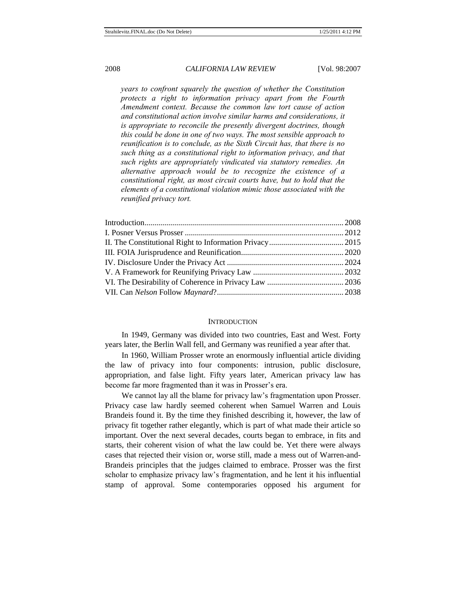*years to confront squarely the question of whether the Constitution protects a right to information privacy apart from the Fourth Amendment context. Because the common law tort cause of action and constitutional action involve similar harms and considerations, it is appropriate to reconcile the presently divergent doctrines, though this could be done in one of two ways. The most sensible approach to reunification is to conclude, as the Sixth Circuit has, that there is no such thing as a constitutional right to information privacy, and that such rights are appropriately vindicated via statutory remedies. An alternative approach would be to recognize the existence of a constitutional right, as most circuit courts have, but to hold that the elements of a constitutional violation mimic those associated with the reunified privacy tort.*

#### **INTRODUCTION**

In 1949, Germany was divided into two countries, East and West. Forty years later, the Berlin Wall fell, and Germany was reunified a year after that.

In 1960, William Prosser wrote an enormously influential article dividing the law of privacy into four components: intrusion, public disclosure, appropriation, and false light. Fifty years later, American privacy law has become far more fragmented than it was in Prosser's era.

We cannot lay all the blame for privacy law's fragmentation upon Prosser. Privacy case law hardly seemed coherent when Samuel Warren and Louis Brandeis found it. By the time they finished describing it, however, the law of privacy fit together rather elegantly, which is part of what made their article so important. Over the next several decades, courts began to embrace, in fits and starts, their coherent vision of what the law could be. Yet there were always cases that rejected their vision or, worse still, made a mess out of Warren-and-Brandeis principles that the judges claimed to embrace. Prosser was the first scholar to emphasize privacy law's fragmentation, and he lent it his influential stamp of approval. Some contemporaries opposed his argument for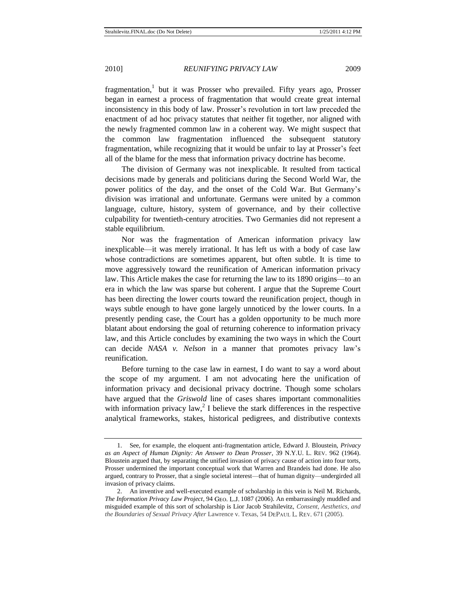fragmentation,<sup>1</sup> but it was Prosser who prevailed. Fifty years ago, Prosser began in earnest a process of fragmentation that would create great internal inconsistency in this body of law. Prosser's revolution in tort law preceded the enactment of ad hoc privacy statutes that neither fit together, nor aligned with the newly fragmented common law in a coherent way. We might suspect that the common law fragmentation influenced the subsequent statutory fragmentation, while recognizing that it would be unfair to lay at Prosser's feet all of the blame for the mess that information privacy doctrine has become.

The division of Germany was not inexplicable. It resulted from tactical decisions made by generals and politicians during the Second World War, the power politics of the day, and the onset of the Cold War. But Germany's division was irrational and unfortunate. Germans were united by a common language, culture, history, system of governance, and by their collective culpability for twentieth-century atrocities. Two Germanies did not represent a stable equilibrium.

Nor was the fragmentation of American information privacy law inexplicable—it was merely irrational. It has left us with a body of case law whose contradictions are sometimes apparent, but often subtle. It is time to move aggressively toward the reunification of American information privacy law. This Article makes the case for returning the law to its 1890 origins—to an era in which the law was sparse but coherent. I argue that the Supreme Court has been directing the lower courts toward the reunification project, though in ways subtle enough to have gone largely unnoticed by the lower courts. In a presently pending case, the Court has a golden opportunity to be much more blatant about endorsing the goal of returning coherence to information privacy law, and this Article concludes by examining the two ways in which the Court can decide *NASA v. Nelson* in a manner that promotes privacy law's reunification.

Before turning to the case law in earnest, I do want to say a word about the scope of my argument. I am not advocating here the unification of information privacy and decisional privacy doctrine. Though some scholars have argued that the *Griswold* line of cases shares important commonalities with information privacy law,<sup>2</sup> I believe the stark differences in the respective analytical frameworks, stakes, historical pedigrees, and distributive contexts

<sup>1.</sup> See, for example, the eloquent anti-fragmentation article, Edward J. Bloustein, *Privacy as an Aspect of Human Dignity: An Answer to Dean Prosser*, 39 N.Y.U. L. REV. 962 (1964). Bloustein argued that, by separating the unified invasion of privacy cause of action into four torts, Prosser undermined the important conceptual work that Warren and Brandeis had done. He also argued, contrary to Prosser, that a single societal interest—that of human dignity—undergirded all invasion of privacy claims.

<sup>2.</sup> An inventive and well-executed example of scholarship in this vein is Neil M. Richards, *The Information Privacy Law Project*, 94 GEO. L.J. 1087 (2006). An embarrassingly muddled and misguided example of this sort of scholarship is Lior Jacob Strahilevitz, *Consent, Aesthetics, and the Boundaries of Sexual Privacy After Lawrence v. Texas, 54 DEPAUL L. REV. 671 (2005).*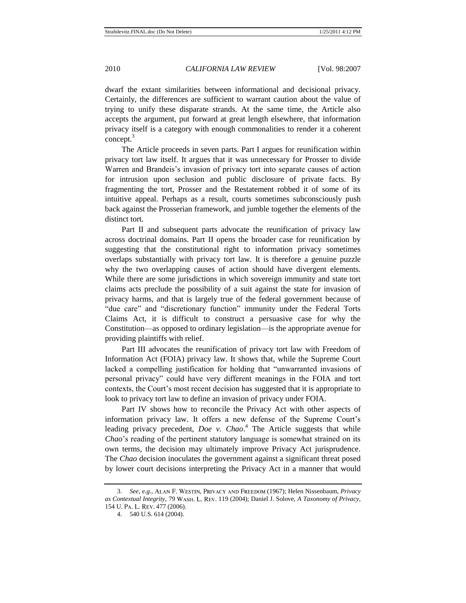dwarf the extant similarities between informational and decisional privacy. Certainly, the differences are sufficient to warrant caution about the value of trying to unify these disparate strands. At the same time, the Article also accepts the argument, put forward at great length elsewhere, that information privacy itself is a category with enough commonalities to render it a coherent concept.<sup>3</sup>

The Article proceeds in seven parts. Part I argues for reunification within privacy tort law itself. It argues that it was unnecessary for Prosser to divide Warren and Brandeis's invasion of privacy tort into separate causes of action for intrusion upon seclusion and public disclosure of private facts. By fragmenting the tort, Prosser and the Restatement robbed it of some of its intuitive appeal. Perhaps as a result, courts sometimes subconsciously push back against the Prosserian framework, and jumble together the elements of the distinct tort.

Part II and subsequent parts advocate the reunification of privacy law across doctrinal domains. Part II opens the broader case for reunification by suggesting that the constitutional right to information privacy sometimes overlaps substantially with privacy tort law. It is therefore a genuine puzzle why the two overlapping causes of action should have divergent elements. While there are some jurisdictions in which sovereign immunity and state tort claims acts preclude the possibility of a suit against the state for invasion of privacy harms, and that is largely true of the federal government because of "due care" and "discretionary function" immunity under the Federal Torts Claims Act, it is difficult to construct a persuasive case for why the Constitution—as opposed to ordinary legislation—is the appropriate avenue for providing plaintiffs with relief.

Part III advocates the reunification of privacy tort law with Freedom of Information Act (FOIA) privacy law. It shows that, while the Supreme Court lacked a compelling justification for holding that "unwarranted invasions of personal privacy" could have very different meanings in the FOIA and tort contexts, the Court's most recent decision has suggested that it is appropriate to look to privacy tort law to define an invasion of privacy under FOIA.

Part IV shows how to reconcile the Privacy Act with other aspects of information privacy law. It offers a new defense of the Supreme Court's leading privacy precedent, *Doe v. Chao*.<sup>4</sup> The Article suggests that while *Chao*'s reading of the pertinent statutory language is somewhat strained on its own terms, the decision may ultimately improve Privacy Act jurisprudence. The *Chao* decision inoculates the government against a significant threat posed by lower court decisions interpreting the Privacy Act in a manner that would

<sup>3.</sup> *See, e.g.*, ALAN F. WESTIN, PRIVACY AND FREEDOM (1967); Helen Nissenbaum, *Privacy* as Contextual Integrity, 79 WASH. L. REV. 119 (2004); Daniel J. Solove, *A Taxonomy of Privacy*, 154 U. PA. L. REV. 477 (2006).

<sup>4.</sup> 540 U.S. 614 (2004).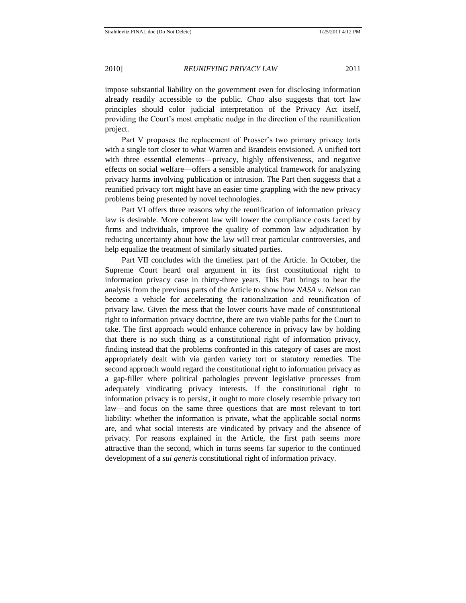impose substantial liability on the government even for disclosing information already readily accessible to the public. *Chao* also suggests that tort law principles should color judicial interpretation of the Privacy Act itself, providing the Court's most emphatic nudge in the direction of the reunification project.

Part V proposes the replacement of Prosser's two primary privacy torts with a single tort closer to what Warren and Brandeis envisioned. A unified tort with three essential elements—privacy, highly offensiveness, and negative effects on social welfare—offers a sensible analytical framework for analyzing privacy harms involving publication or intrusion. The Part then suggests that a reunified privacy tort might have an easier time grappling with the new privacy problems being presented by novel technologies.

Part VI offers three reasons why the reunification of information privacy law is desirable. More coherent law will lower the compliance costs faced by firms and individuals, improve the quality of common law adjudication by reducing uncertainty about how the law will treat particular controversies, and help equalize the treatment of similarly situated parties.

Part VII concludes with the timeliest part of the Article. In October, the Supreme Court heard oral argument in its first constitutional right to information privacy case in thirty-three years. This Part brings to bear the analysis from the previous parts of the Article to show how *NASA v. Nelson* can become a vehicle for accelerating the rationalization and reunification of privacy law. Given the mess that the lower courts have made of constitutional right to information privacy doctrine, there are two viable paths for the Court to take. The first approach would enhance coherence in privacy law by holding that there is no such thing as a constitutional right of information privacy, finding instead that the problems confronted in this category of cases are most appropriately dealt with via garden variety tort or statutory remedies. The second approach would regard the constitutional right to information privacy as a gap-filler where political pathologies prevent legislative processes from adequately vindicating privacy interests. If the constitutional right to information privacy is to persist, it ought to more closely resemble privacy tort law—and focus on the same three questions that are most relevant to tort liability: whether the information is private, what the applicable social norms are, and what social interests are vindicated by privacy and the absence of privacy. For reasons explained in the Article, the first path seems more attractive than the second, which in turns seems far superior to the continued development of a *sui generis* constitutional right of information privacy.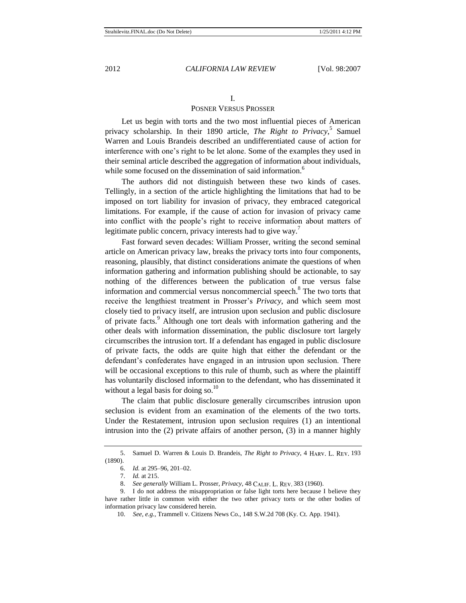#### <span id="page-5-0"></span>I.

### POSNER VERSUS PROSSER

Let us begin with torts and the two most influential pieces of American privacy scholarship. In their 1890 article, *The Right to Privacy*, 5 Samuel Warren and Louis Brandeis described an undifferentiated cause of action for interference with one's right to be let alone. Some of the examples they used in their seminal article described the aggregation of information about individuals, while some focused on the dissemination of said information.<sup>6</sup>

The authors did not distinguish between these two kinds of cases. Tellingly, in a section of the article highlighting the limitations that had to be imposed on tort liability for invasion of privacy, they embraced categorical limitations. For example, if the cause of action for invasion of privacy came into conflict with the people's right to receive information about matters of legitimate public concern, privacy interests had to give way.<sup>7</sup>

Fast forward seven decades: William Prosser, writing the second seminal article on American privacy law, breaks the privacy torts into four components, reasoning, plausibly, that distinct considerations animate the questions of when information gathering and information publishing should be actionable, to say nothing of the differences between the publication of true versus false information and commercial versus noncommercial speech.<sup>8</sup> The two torts that receive the lengthiest treatment in Prosser's *Privacy*, and which seem most closely tied to privacy itself, are intrusion upon seclusion and public disclosure of private facts.<sup>9</sup> Although one tort deals with information gathering and the other deals with information dissemination, the public disclosure tort largely circumscribes the intrusion tort. If a defendant has engaged in public disclosure of private facts, the odds are quite high that either the defendant or the defendant's confederates have engaged in an intrusion upon seclusion. There will be occasional exceptions to this rule of thumb, such as where the plaintiff has voluntarily disclosed information to the defendant, who has disseminated it without a legal basis for doing so. $^{10}$ 

The claim that public disclosure generally circumscribes intrusion upon seclusion is evident from an examination of the elements of the two torts. Under the Restatement, intrusion upon seclusion requires (1) an intentional intrusion into the (2) private affairs of another person, (3) in a manner highly

<sup>5.</sup> Samuel D. Warren & Louis D. Brandeis, *The Right to Privacy*, 4 HARV. L. REV. 193 (1890).

<sup>6.</sup> *Id.* at 295–96, 201–02.

<sup>7.</sup> *Id.* at 215.

<sup>8.</sup> *See generally* William L. Prosser, *Privacy*, 48 CALIF. L. REV. 383 (1960).

<sup>9.</sup> I do not address the misappropriation or false light torts here because I believe they have rather little in common with either the two other privacy torts or the other bodies of information privacy law considered herein.

<sup>10.</sup> *See, e.g.*, Trammell v. Citizens News Co., 148 S.W.2d 708 (Ky. Ct. App. 1941).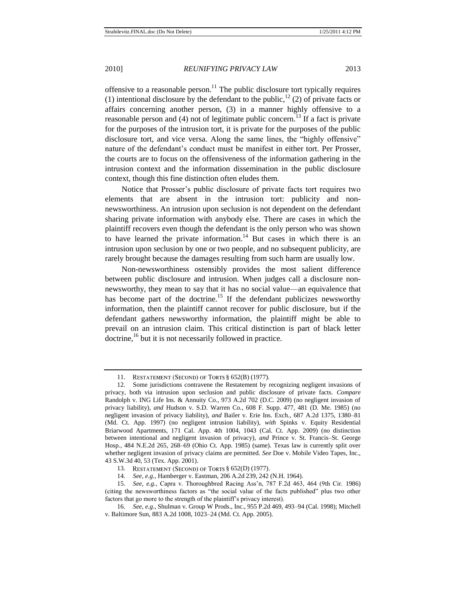<span id="page-6-0"></span>offensive to a reasonable person.<sup>11</sup> The public disclosure tort typically requires (1) intentional disclosure by the defendant to the public,<sup>12</sup> (2) of private facts or affairs concerning another person, (3) in a manner highly offensive to a reasonable person and (4) not of legitimate public concern.<sup>13</sup> If a fact is private for the purposes of the intrusion tort, it is private for the purposes of the public disclosure tort, and vice versa. Along the same lines, the "highly offensive" nature of the defendant's conduct must be manifest in either tort. Per Prosser, the courts are to focus on the offensiveness of the information gathering in the intrusion context and the information dissemination in the public disclosure context, though this fine distinction often eludes them.

Notice that Prosser's public disclosure of private facts tort requires two elements that are absent in the intrusion tort: publicity and nonnewsworthiness. An intrusion upon seclusion is not dependent on the defendant sharing private information with anybody else. There are cases in which the plaintiff recovers even though the defendant is the only person who was shown to have learned the private information.<sup>14</sup> But cases in which there is an intrusion upon seclusion by one or two people, and no subsequent publicity, are rarely brought because the damages resulting from such harm are usually low.

Non-newsworthiness ostensibly provides the most salient difference between public disclosure and intrusion. When judges call a disclosure nonnewsworthy, they mean to say that it has no social value—an equivalence that has become part of the doctrine.<sup>15</sup> If the defendant publicizes newsworthy information, then the plaintiff cannot recover for public disclosure, but if the defendant gathers newsworthy information, the plaintiff might be able to prevail on an intrusion claim. This critical distinction is part of black letter doctrine,<sup>16</sup> but it is not necessarily followed in practice.

<sup>11.</sup> RESTATEMENT (SECOND) OF TORTS § 652(B) (1977).

<sup>12.</sup> Some jurisdictions contravene the Restatement by recognizing negligent invasions of privacy, both via intrusion upon seclusion and public disclosure of private facts. *Compare* Randolph v. ING Life Ins. & Annuity Co., 973 A.2d 702 (D.C. 2009) (no negligent invasion of privacy liability), *and* Hudson v. S.D. Warren Co., 608 F. Supp. 477, 481 (D. Me. 1985) (no negligent invasion of privacy liability), *and* Bailer v. Erie Ins. Exch., 687 A.2d 1375, 1380–81 (Md. Ct. App. 1997) (no negligent intrusion liability), *with* Spinks v. Equity Residential Briarwood Apartments, 171 Cal. App. 4th 1004, 1043 (Cal. Ct. App. 2009) (no distinction between intentional and negligent invasion of privacy), *and* Prince v. St. Francis–St. George Hosp., 484 N.E.2d 265, 268–69 (Ohio Ct. App. 1985) (same). Texas law is currently split over whether negligent invasion of privacy claims are permitted. *See* Doe v. Mobile Video Tapes, Inc., 43 S.W.3d 40, 53 (Tex. App. 2001).

<sup>13.</sup> RESTATEMENT (SECOND) OF TORTS § 652(D) (1977).

<sup>14.</sup> *See, e.g.*, Hamberger v. Eastman, 206 A.2d 239, 242 (N.H. 1964).

<sup>15.</sup> *See, e.g.*, Capra v. Thoroughbred Racing Ass'n, 787 F.2d 463, 464 (9th Cir. 1986) (citing the newsworthiness factors as "the social value of the facts published" plus two other factors that go more to the strength of the plaintiff's privacy interest).

<sup>16.</sup> *See, e.g.*, Shulman v. Group W Prods., Inc., 955 P.2d 469, 493–94 (Cal. 1998); Mitchell v. Baltimore Sun, 883 A.2d 1008, 1023–24 (Md. Ct. App. 2005).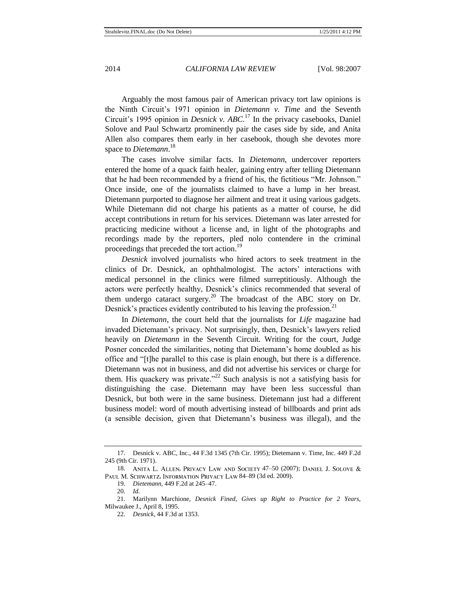Arguably the most famous pair of American privacy tort law opinions is the Ninth Circuit's 1971 opinion in *Dietemann v. Time* and the Seventh Circuit's 1995 opinion in *Desnick v. ABC.*<sup>17</sup> In the privacy casebooks, Daniel Solove and Paul Schwartz prominently pair the cases side by side, and Anita Allen also compares them early in her casebook, though she devotes more space to *Dietemann*. 18

<span id="page-7-0"></span>The cases involve similar facts. In *Dietemann*, undercover reporters entered the home of a quack faith healer, gaining entry after telling Dietemann that he had been recommended by a friend of his, the fictitious "Mr. Johnson." Once inside, one of the journalists claimed to have a lump in her breast. Dietemann purported to diagnose her ailment and treat it using various gadgets. While Dietemann did not charge his patients as a matter of course, he did accept contributions in return for his services. Dietemann was later arrested for practicing medicine without a license and, in light of the photographs and recordings made by the reporters, pled nolo contendere in the criminal proceedings that preceded the tort action.<sup>19</sup>

*Desnick* involved journalists who hired actors to seek treatment in the clinics of Dr. Desnick, an ophthalmologist. The actors' interactions with medical personnel in the clinics were filmed surreptitiously. Although the actors were perfectly healthy, Desnick's clinics recommended that several of them undergo cataract surgery.<sup>20</sup> The broadcast of the ABC story on Dr. Desnick's practices evidently contributed to his leaving the profession.<sup>21</sup>

In *Dietemann*, the court held that the journalists for *Life* magazine had invaded Dietemann's privacy. Not surprisingly, then, Desnick's lawyers relied heavily on *Dietemann* in the Seventh Circuit. Writing for the court, Judge Posner conceded the similarities, noting that Dietemann's home doubled as his office and "[t]he parallel to this case is plain enough, but there is a difference. Dietemann was not in business, and did not advertise his services or charge for them. His quackery was private.<sup> $22$ </sup> Such analysis is not a satisfying basis for distinguishing the case. Dietemann may have been less successful than Desnick, but both were in the same business. Dietemann just had a different business model: word of mouth advertising instead of billboards and print ads (a sensible decision, given that Dietemann's business was illegal), and the

<sup>17.</sup> Desnick v. ABC, Inc., 44 F.3d 1345 (7th Cir. 1995); Dietemann v. Time, Inc. 449 F.2d 245 (9th Cir. 1971).

<sup>18.</sup> ANITA L. ALLEN, PRIVACY LAW AND SOCIETY 47-50 (2007); DANIEL J. SOLOVE & PAUL M. SCHWARTZ, INFORMATION PRIVACY LAW 84-89 (3d ed. 2009).

<sup>19.</sup> *Dietemann*, 449 F.2d at 245–47.

<sup>20.</sup> *Id.*

<sup>21.</sup> Marilynn Marchione, *Desnick Fined, Gives up Right to Practice for 2 Years*, Milwaukee J., April 8, 1995.

<sup>22.</sup> *Desnick*, 44 F.3d at 1353.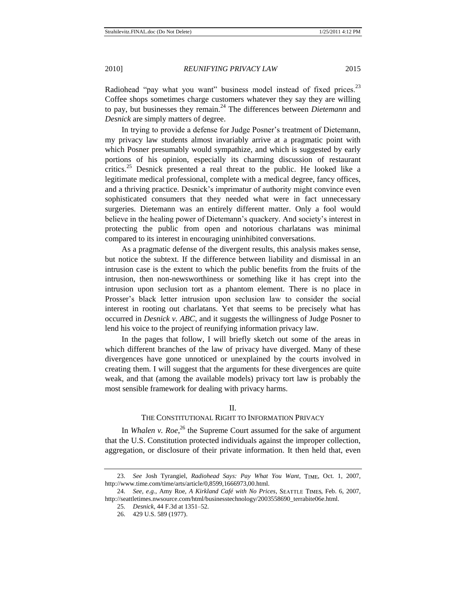Radiohead "pay what you want" business model instead of fixed prices.<sup>23</sup> Coffee shops sometimes charge customers whatever they say they are willing to pay, but businesses they remain.<sup>24</sup> The differences between *Dietemann* and *Desnick* are simply matters of degree.

In trying to provide a defense for Judge Posner's treatment of Dietemann, my privacy law students almost invariably arrive at a pragmatic point with which Posner presumably would sympathize, and which is suggested by early portions of his opinion, especially its charming discussion of restaurant critics.<sup>25</sup> Desnick presented a real threat to the public. He looked like a legitimate medical professional, complete with a medical degree, fancy offices, and a thriving practice. Desnick's imprimatur of authority might convince even sophisticated consumers that they needed what were in fact unnecessary surgeries. Dietemann was an entirely different matter. Only a fool would believe in the healing power of Dietemann's quackery. And society's interest in protecting the public from open and notorious charlatans was minimal compared to its interest in encouraging uninhibited conversations.

As a pragmatic defense of the divergent results, this analysis makes sense, but notice the subtext. If the difference between liability and dismissal in an intrusion case is the extent to which the public benefits from the fruits of the intrusion, then non-newsworthiness or something like it has crept into the intrusion upon seclusion tort as a phantom element. There is no place in Prosser's black letter intrusion upon seclusion law to consider the social interest in rooting out charlatans. Yet that seems to be precisely what has occurred in *Desnick v. ABC*, and it suggests the willingness of Judge Posner to lend his voice to the project of reunifying information privacy law.

In the pages that follow, I will briefly sketch out some of the areas in which different branches of the law of privacy have diverged. Many of these divergences have gone unnoticed or unexplained by the courts involved in creating them. I will suggest that the arguments for these divergences are quite weak, and that (among the available models) privacy tort law is probably the most sensible framework for dealing with privacy harms.

#### II.

# THE CONSTITUTIONAL RIGHT TO INFORMATION PRIVACY

In *Whalen v. Roe*<sup>26</sup>, the Supreme Court assumed for the sake of argument that the U.S. Constitution protected individuals against the improper collection, aggregation, or disclosure of their private information. It then held that, even

<sup>23.</sup> *See Josh Tyrangiel, Radiohead Says: Pay What You Want*, TIME, Oct. 1, 2007, http://www.time.com/time/arts/article/0,8599,1666973,00.html.

<sup>24.</sup> *See, e.g.*, Amy Roe, *A Kirkland Café with No Prices*, SEATTLE TIMES, Feb. 6, 2007, http://seattletimes.nwsource.com/html/businesstechnology/2003558690\_terrabite06e.html.

<sup>25.</sup> *Desnick*, 44 F.3d at 1351–52.

<sup>26.</sup> 429 U.S. 589 (1977).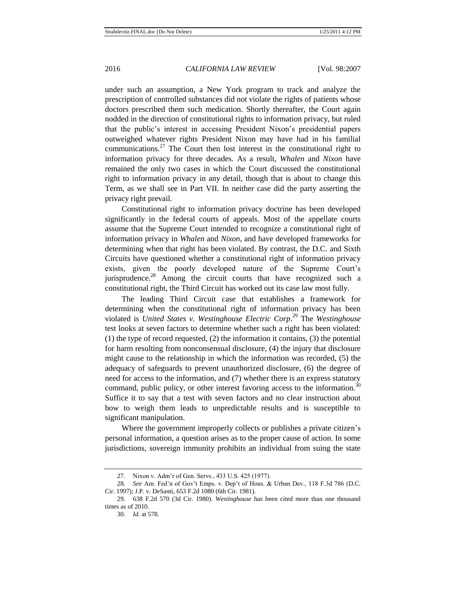under such an assumption, a New York program to track and analyze the prescription of controlled substances did not violate the rights of patients whose doctors prescribed them such medication. Shortly thereafter, the Court again nodded in the direction of constitutional rights to information privacy, but ruled that the public's interest in accessing President Nixon's presidential papers outweighed whatever rights President Nixon may have had in his familial communications.<sup>27</sup> The Court then lost interest in the constitutional right to information privacy for three decades. As a result, *Whalen* and *Nixon* have remained the only two cases in which the Court discussed the constitutional right to information privacy in any detail, though that is about to change this Term, as we shall see in Part VII. In neither case did the party asserting the privacy right prevail.

Constitutional right to information privacy doctrine has been developed significantly in the federal courts of appeals. Most of the appellate courts assume that the Supreme Court intended to recognize a constitutional right of information privacy in *Whalen* and *Nixon*, and have developed frameworks for determining when that right has been violated. By contrast, the D.C. and Sixth Circuits have questioned whether a constitutional right of information privacy exists, given the poorly developed nature of the Supreme Court's jurisprudence.<sup>28</sup> Among the circuit courts that have recognized such a constitutional right, the Third Circuit has worked out its case law most fully.

<span id="page-9-0"></span>The leading Third Circuit case that establishes a framework for determining when the constitutional right of information privacy has been violated is *United States v. Westinghouse Electric Corp*. <sup>29</sup> The *Westinghouse* test looks at seven factors to determine whether such a right has been violated: (1) the type of record requested, (2) the information it contains, (3) the potential for harm resulting from nonconsensual disclosure, (4) the injury that disclosure might cause to the relationship in which the information was recorded, (5) the adequacy of safeguards to prevent unauthorized disclosure, (6) the degree of need for access to the information, and (7) whether there is an express statutory command, public policy, or other interest favoring access to the information.<sup>30</sup> Suffice it to say that a test with seven factors and no clear instruction about how to weigh them leads to unpredictable results and is susceptible to significant manipulation.

Where the government improperly collects or publishes a private citizen's personal information, a question arises as to the proper cause of action. In some jurisdictions, sovereign immunity prohibits an individual from suing the state

<sup>27.</sup> Nixon v. Adm'r of Gen. Servs., 433 U.S. 425 (1977).

<sup>28.</sup> *See* Am. Fed'n of Gov't Emps. v. Dep't of Hous. & Urban Dev., 118 F.3d 786 (D.C. Cir. 1997); J.P. v. DeSanti, 653 F.2d 1080 (6th Cir. 1981).

<sup>29.</sup> 638 F.2d 570 (3d Cir. 1980). *Westinghouse* has been cited more than one thousand times as of 2010.

<sup>30.</sup> *Id*. at 578.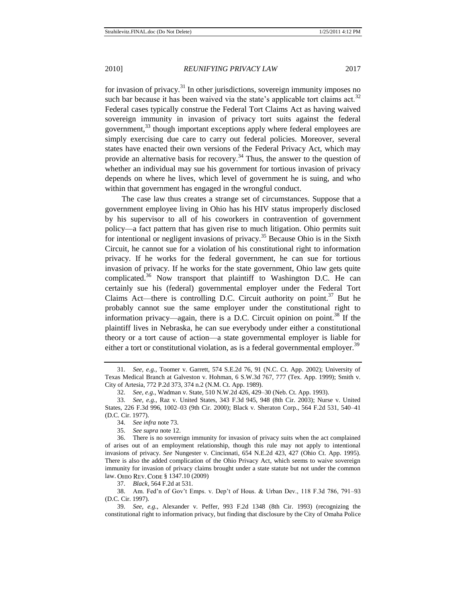for invasion of privacy.<sup>31</sup> In other jurisdictions, sovereign immunity imposes no such bar because it has been waived via the state's applicable tort claims act.<sup>32</sup> Federal cases typically construe the Federal Tort Claims Act as having waived sovereign immunity in invasion of privacy tort suits against the federal government,<sup>33</sup> though important exceptions apply where federal employees are simply exercising due care to carry out federal policies. Moreover, several states have enacted their own versions of the Federal Privacy Act, which may provide an alternative basis for recovery.<sup>34</sup> Thus, the answer to the question of whether an individual may sue his government for tortious invasion of privacy depends on where he lives, which level of government he is suing, and who within that government has engaged in the wrongful conduct.

The case law thus creates a strange set of circumstances. Suppose that a government employee living in Ohio has his HIV status improperly disclosed by his supervisor to all of his coworkers in contravention of government policy—a fact pattern that has given rise to much litigation. Ohio permits suit for intentional or negligent invasions of privacy.<sup>35</sup> Because Ohio is in the Sixth Circuit, he cannot sue for a violation of his constitutional right to information privacy. If he works for the federal government, he can sue for tortious invasion of privacy. If he works for the state government, Ohio law gets quite complicated.<sup>36</sup> Now transport that plaintiff to Washington D.C. He can certainly sue his (federal) governmental employer under the Federal Tort Claims Act—there is controlling D.C. Circuit authority on point.<sup>37</sup> But he probably cannot sue the same employer under the constitutional right to information privacy—again, there is a D.C. Circuit opinion on point.<sup>38</sup> If the plaintiff lives in Nebraska, he can sue everybody under either a constitutional theory or a tort cause of action—a state governmental employer is liable for either a tort or constitutional violation, as is a federal governmental employer.<sup>39</sup>

37. *Black*, 564 F.2d at 531.

<sup>31.</sup> *See, e.g.*, Toomer v. Garrett, 574 S.E.2d 76, 91 (N.C. Ct. App. 2002); University of Texas Medical Branch at Galveston v. Hohman, 6 S.W.3d 767, 777 (Tex. App. 1999); Smith v. City of Artesia, 772 P.2d 373, 374 n.2 (N.M. Ct. App. 1989).

<sup>32.</sup> *See, e.g.*, Wadman v. State, 510 N.W.2d 426, 429–30 (Neb. Ct. App. 1993).

<sup>33.</sup> *See, e.g.*, Raz v. United States, 343 F.3d 945, 948 (8th Cir. 2003); Nurse v. United States, 226 F.3d 996, 1002–03 (9th Cir. 2000); Black v. Sheraton Corp., 564 F.2d 531, 540–41 (D.C. Cir. 1977).

<sup>34.</sup> *See infra* note [73.](#page-18-0)

<sup>35.</sup> *See supra* note [12.](#page-6-0)

<sup>36.</sup> There is no sovereign immunity for invasion of privacy suits when the act complained of arises out of an employment relationship, though this rule may not apply to intentional invasions of privacy. *See* Nungester v. Cincinnati, 654 N.E.2d 423, 427 (Ohio Ct. App. 1995). There is also the added complication of the Ohio Privacy Act, which seems to waive sovereign immunity for invasion of privacy claims brought under a state statute but not under the common law. Ohio Rev. Code § 1347.10 (2009)

<sup>38.</sup> Am. Fed'n of Gov't Emps. v. Dep't of Hous. & Urban Dev., 118 F.3d 786, 791–93 (D.C. Cir. 1997).

<sup>39.</sup> *See, e.g.*, Alexander v. Peffer, 993 F.2d 1348 (8th Cir. 1993) (recognizing the constitutional right to information privacy, but finding that disclosure by the City of Omaha Police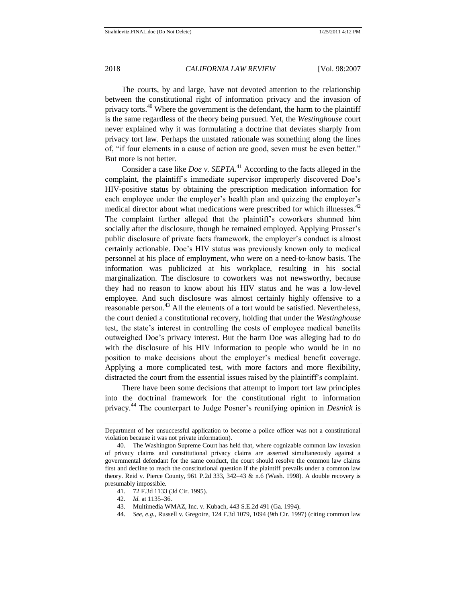The courts, by and large, have not devoted attention to the relationship between the constitutional right of information privacy and the invasion of privacy torts.<sup>40</sup> Where the government is the defendant, the harm to the plaintiff is the same regardless of the theory being pursued. Yet, the *Westinghouse* court never explained why it was formulating a doctrine that deviates sharply from privacy tort law. Perhaps the unstated rationale was something along the lines of, "if four elements in a cause of action are good, seven must be even better." But more is not better.

Consider a case like *Doe v. SEPTA*. <sup>41</sup> According to the facts alleged in the complaint, the plaintiff's immediate supervisor improperly discovered Doe's HIV-positive status by obtaining the prescription medication information for each employee under the employer's health plan and quizzing the employer's medical director about what medications were prescribed for which illnesses.<sup>42</sup> The complaint further alleged that the plaintiff's coworkers shunned him socially after the disclosure, though he remained employed. Applying Prosser's public disclosure of private facts framework, the employer's conduct is almost certainly actionable. Doe's HIV status was previously known only to medical personnel at his place of employment, who were on a need-to-know basis. The information was publicized at his workplace, resulting in his social marginalization. The disclosure to coworkers was not newsworthy, because they had no reason to know about his HIV status and he was a low-level employee. And such disclosure was almost certainly highly offensive to a reasonable person.<sup>43</sup> All the elements of a tort would be satisfied. Nevertheless, the court denied a constitutional recovery, holding that under the *Westinghouse*  test, the state's interest in controlling the costs of employee medical benefits outweighed Doe's privacy interest. But the harm Doe was alleging had to do with the disclosure of his HIV information to people who would be in no position to make decisions about the employer's medical benefit coverage. Applying a more complicated test, with more factors and more flexibility, distracted the court from the essential issues raised by the plaintiff's complaint.

<span id="page-11-0"></span>There have been some decisions that attempt to import tort law principles into the doctrinal framework for the constitutional right to information privacy.<sup>44</sup> The counterpart to Judge Posner's reunifying opinion in *Desnick* is

- 41. 72 F.3d 1133 (3d Cir. 1995).
- 42. *Id.* at 1135–36.
- 43. Multimedia WMAZ, Inc. v. Kubach, 443 S.E.2d 491 (Ga. 1994).
- 44. *See, e.g.*, Russell v. Gregoire, 124 F.3d 1079, 1094 (9th Cir. 1997) (citing common law

Department of her unsuccessful application to become a police officer was not a constitutional violation because it was not private information).

<sup>40.</sup> The Washington Supreme Court has held that, where cognizable common law invasion of privacy claims and constitutional privacy claims are asserted simultaneously against a governmental defendant for the same conduct, the court should resolve the common law claims first and decline to reach the constitutional question if the plaintiff prevails under a common law theory. Reid v. Pierce County, 961 P.2d 333, 342–43  $\&$  n.6 (Wash. 1998). A double recovery is presumably impossible.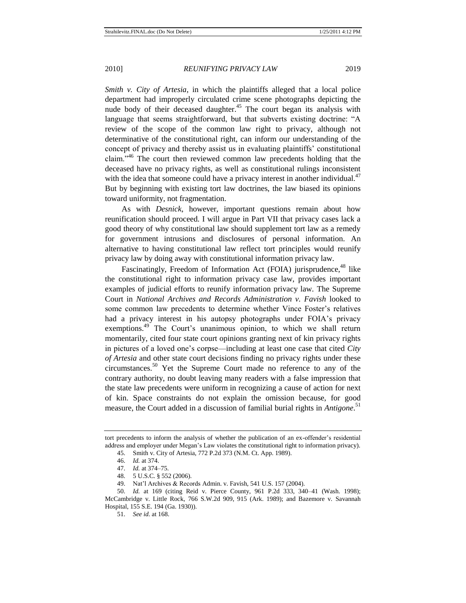*Smith v. City of Artesia*, in which the plaintiffs alleged that a local police department had improperly circulated crime scene photographs depicting the nude body of their deceased daughter.<sup>45</sup> The court began its analysis with language that seems straightforward, but that subverts existing doctrine: "A review of the scope of the common law right to privacy, although not determinative of the constitutional right, can inform our understanding of the concept of privacy and thereby assist us in evaluating plaintiffs' constitutional claim.<sup> $346$ </sup> The court then reviewed common law precedents holding that the deceased have no privacy rights, as well as constitutional rulings inconsistent with the idea that someone could have a privacy interest in another individual. $47$ But by beginning with existing tort law doctrines, the law biased its opinions toward uniformity, not fragmentation.

<span id="page-12-1"></span>As with *Desnick*, however, important questions remain about how reunification should proceed. I will argue in Part VII that privacy cases lack a good theory of why constitutional law should supplement tort law as a remedy for government intrusions and disclosures of personal information. An alternative to having constitutional law reflect tort principles would reunify privacy law by doing away with constitutional information privacy law.

Fascinatingly, Freedom of Information Act (FOIA) jurisprudence,<sup>48</sup> like the constitutional right to information privacy case law, provides important examples of judicial efforts to reunify information privacy law. The Supreme Court in *National Archives and Records Administration v. Favish* looked to some common law precedents to determine whether Vince Foster's relatives had a privacy interest in his autopsy photographs under FOIA's privacy exemptions.<sup>49</sup> The Court's unanimous opinion, to which we shall return momentarily, cited four state court opinions granting next of kin privacy rights in pictures of a loved one's corpse—including at least one case that cited *City of Artesia* and other state court decisions finding no privacy rights under these circumstances.<sup>50</sup> Yet the Supreme Court made no reference to any of the contrary authority, no doubt leaving many readers with a false impression that the state law precedents were uniform in recognizing a cause of action for next of kin. Space constraints do not explain the omission because, for good measure, the Court added in a discussion of familial burial rights in *Antigone*. 51

49. Nat'l Archives & Records Admin. v. Favish, 541 U.S. 157 (2004).

<span id="page-12-0"></span>tort precedents to inform the analysis of whether the publication of an ex-offender's residential address and employer under Megan's Law violates the constitutional right to information privacy).

<sup>45.</sup> Smith v. City of Artesia, 772 P.2d 373 (N.M. Ct. App. 1989).

<sup>46.</sup> *Id.* at 374.

<sup>47.</sup> *Id.* at 374–75.

<sup>48.</sup> 5 U.S.C. § 552 (2006).

<sup>50.</sup> *Id.* at 169 (citing Reid v. Pierce County, 961 P.2d 333, 340–41 (Wash. 1998); McCambridge v. Little Rock, 766 S.W.2d 909, 915 (Ark. 1989); and Bazemore v. Savannah Hospital, 155 S.E. 194 (Ga. 1930)).

<sup>51.</sup> *See id.* at 168.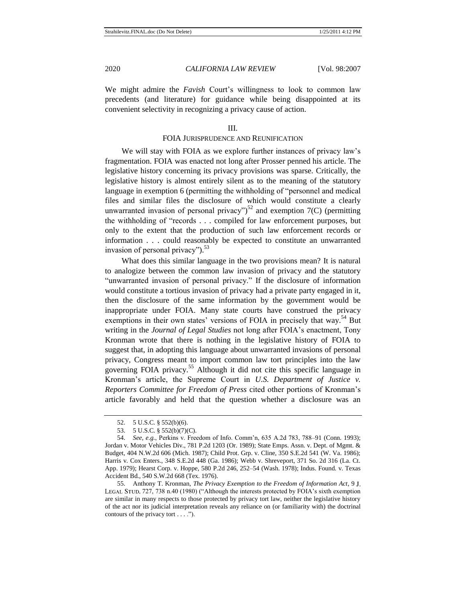We might admire the *Favish* Court's willingness to look to common law precedents (and literature) for guidance while being disappointed at its convenient selectivity in recognizing a privacy cause of action.

#### III.

# FOIA JURISPRUDENCE AND REUNIFICATION

We will stay with FOIA as we explore further instances of privacy law's fragmentation. FOIA was enacted not long after Prosser penned his article. The legislative history concerning its privacy provisions was sparse. Critically, the legislative history is almost entirely silent as to the meaning of the statutory language in exemption 6 (permitting the withholding of "personnel and medical files and similar files the disclosure of which would constitute a clearly unwarranted invasion of personal privacy")<sup>52</sup> and exemption  $7(C)$  (permitting the withholding of "records . . . compiled for law enforcement purposes, but only to the extent that the production of such law enforcement records or information . . . could reasonably be expected to constitute an unwarranted invasion of personal privacy" $\frac{53}{3}$ 

What does this similar language in the two provisions mean? It is natural to analogize between the common law invasion of privacy and the statutory "unwarranted invasion of personal privacy." If the disclosure of information would constitute a tortious invasion of privacy had a private party engaged in it, then the disclosure of the same information by the government would be inappropriate under FOIA. Many state courts have construed the privacy exemptions in their own states' versions of FOIA in precisely that way.<sup>54</sup> But writing in the *Journal of Legal Studies* not long after FOIA's enactment, Tony Kronman wrote that there is nothing in the legislative history of FOIA to suggest that, in adopting this language about unwarranted invasions of personal privacy, Congress meant to import common law tort principles into the law governing FOIA privacy.<sup>55</sup> Although it did not cite this specific language in Kronman's article, the Supreme Court in *U.S. Department of Justice v. Reporters Committee for Freedom of Press* cited other portions of Kronman's article favorably and held that the question whether a disclosure was an

<sup>52.</sup> 5 U.S.C. § 552(b)(6).

<sup>53.</sup> 5 U.S.C. § 552(b)(7)(C).

<sup>54.</sup> *See, e.g.*, Perkins v. Freedom of Info. Comm'n, 635 A.2d 783, 788–91 (Conn. 1993); Jordan v. Motor Vehicles Div., 781 P.2d 1203 (Or. 1989); State Emps. Assn. v. Dept. of Mgmt. & Budget, 404 N.W.2d 606 (Mich. 1987); Child Prot. Grp. v. Cline, 350 S.E.2d 541 (W. Va. 1986); Harris v. Cox Enters., 348 S.E.2d 448 (Ga. 1986); Webb v. Shreveport, 371 So. 2d 316 (La. Ct. App. 1979); Hearst Corp. v. Hoppe, 580 P.2d 246, 252–54 (Wash. 1978); Indus. Found. v. Texas Accident Bd., 540 S.W.2d 668 (Tex. 1976).

<sup>55.</sup> Anthony T. Kronman, *The Privacy Exemption to the Freedom of Information Act*, 9 LEGAL STUD. 727, 738 n.40 (1980) ("Although the interests protected by FOIA's sixth exemption are similar in many respects to those protected by privacy tort law, neither the legislative history of the act nor its judicial interpretation reveals any reliance on (or familiarity with) the doctrinal contours of the privacy tort  $\dots$ .").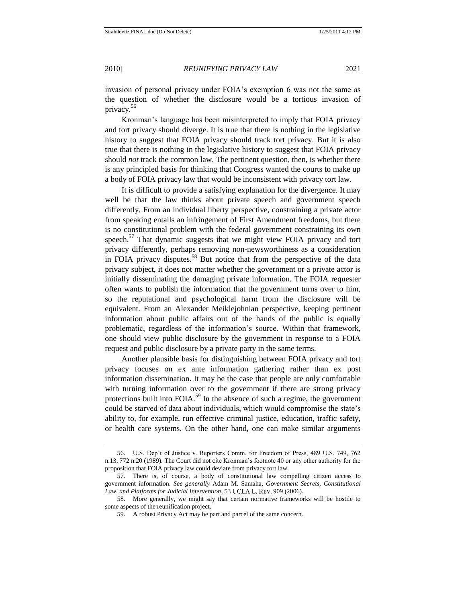invasion of personal privacy under FOIA's exemption 6 was not the same as the question of whether the disclosure would be a tortious invasion of privacy. 56

Kronman's language has been misinterpreted to imply that FOIA privacy and tort privacy should diverge. It is true that there is nothing in the legislative history to suggest that FOIA privacy should track tort privacy. But it is also true that there is nothing in the legislative history to suggest that FOIA privacy should *not* track the common law. The pertinent question, then, is whether there is any principled basis for thinking that Congress wanted the courts to make up a body of FOIA privacy law that would be inconsistent with privacy tort law.

It is difficult to provide a satisfying explanation for the divergence. It may well be that the law thinks about private speech and government speech differently. From an individual liberty perspective, constraining a private actor from speaking entails an infringement of First Amendment freedoms, but there is no constitutional problem with the federal government constraining its own speech.<sup>57</sup> That dynamic suggests that we might view FOIA privacy and tort privacy differently, perhaps removing non-newsworthiness as a consideration in FOIA privacy disputes.<sup>58</sup> But notice that from the perspective of the data privacy subject, it does not matter whether the government or a private actor is initially disseminating the damaging private information. The FOIA requester often wants to publish the information that the government turns over to him, so the reputational and psychological harm from the disclosure will be equivalent. From an Alexander Meiklejohnian perspective, keeping pertinent information about public affairs out of the hands of the public is equally problematic, regardless of the information's source. Within that framework, one should view public disclosure by the government in response to a FOIA request and public disclosure by a private party in the same terms.

Another plausible basis for distinguishing between FOIA privacy and tort privacy focuses on ex ante information gathering rather than ex post information dissemination. It may be the case that people are only comfortable with turning information over to the government if there are strong privacy protections built into FOIA.<sup>59</sup> In the absence of such a regime, the government could be starved of data about individuals, which would compromise the state's ability to, for example, run effective criminal justice, education, traffic safety, or health care systems. On the other hand, one can make similar arguments

<sup>56.</sup> U.S. Dep't of Justice v. Reporters Comm. for Freedom of Press, 489 U.S. 749, 762 n.13, 772 n.20 (1989). The Court did not cite Kronman's footnote 40 or any other authority for the proposition that FOIA privacy law could deviate from privacy tort law.

<sup>57.</sup> There is, of course, a body of constitutional law compelling citizen access to government information. *See generally* Adam M. Samaha, *Government Secrets, Constitutional*  Law, and Platforms for Judicial Intervention, 53 UCLA L. REV. 909 (2006).

<sup>58.</sup> More generally, we might say that certain normative frameworks will be hostile to some aspects of the reunification project.

<sup>59.</sup> A robust Privacy Act may be part and parcel of the same concern.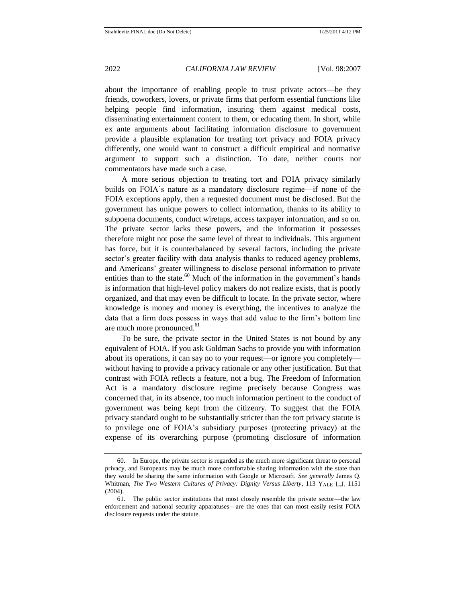about the importance of enabling people to trust private actors—be they friends, coworkers, lovers, or private firms that perform essential functions like helping people find information, insuring them against medical costs, disseminating entertainment content to them, or educating them. In short, while ex ante arguments about facilitating information disclosure to government provide a plausible explanation for treating tort privacy and FOIA privacy differently, one would want to construct a difficult empirical and normative argument to support such a distinction. To date, neither courts nor commentators have made such a case.

A more serious objection to treating tort and FOIA privacy similarly builds on FOIA's nature as a mandatory disclosure regime—if none of the FOIA exceptions apply, then a requested document must be disclosed. But the government has unique powers to collect information, thanks to its ability to subpoena documents, conduct wiretaps, access taxpayer information, and so on. The private sector lacks these powers, and the information it possesses therefore might not pose the same level of threat to individuals. This argument has force, but it is counterbalanced by several factors, including the private sector's greater facility with data analysis thanks to reduced agency problems, and Americans' greater willingness to disclose personal information to private entities than to the state. $60$  Much of the information in the government's hands is information that high-level policy makers do not realize exists, that is poorly organized, and that may even be difficult to locate. In the private sector, where knowledge is money and money is everything, the incentives to analyze the data that a firm does possess in ways that add value to the firm's bottom line are much more pronounced.<sup>61</sup>

To be sure, the private sector in the United States is not bound by any equivalent of FOIA. If you ask Goldman Sachs to provide you with information about its operations, it can say no to your request—or ignore you completely without having to provide a privacy rationale or any other justification. But that contrast with FOIA reflects a feature, not a bug. The Freedom of Information Act is a mandatory disclosure regime precisely because Congress was concerned that, in its absence, too much information pertinent to the conduct of government was being kept from the citizenry. To suggest that the FOIA privacy standard ought to be substantially stricter than the tort privacy statute is to privilege one of FOIA's subsidiary purposes (protecting privacy) at the expense of its overarching purpose (promoting disclosure of information

<sup>60.</sup> In Europe, the private sector is regarded as the much more significant threat to personal privacy, and Europeans may be much more comfortable sharing information with the state than they would be sharing the same information with Google or Microsoft. *See generally* James Q. Whitman, *The Two Western Cultures of Privacy: Dignity Versus Liberty*, 113 YALE L.J. 1151 (2004).

<sup>61.</sup> The public sector institutions that most closely resemble the private sector—the law enforcement and national security apparatuses—are the ones that can most easily resist FOIA disclosure requests under the statute.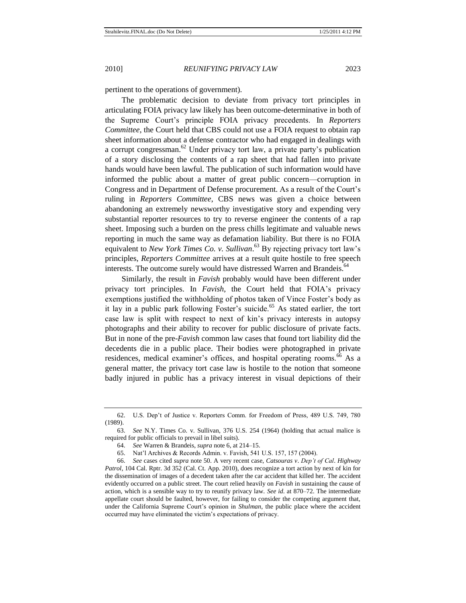pertinent to the operations of government).

The problematic decision to deviate from privacy tort principles in articulating FOIA privacy law likely has been outcome-determinative in both of the Supreme Court's principle FOIA privacy precedents. In *Reporters Committee*, the Court held that CBS could not use a FOIA request to obtain rap sheet information about a defense contractor who had engaged in dealings with a corrupt congressman.<sup>62</sup> Under privacy tort law, a private party's publication of a story disclosing the contents of a rap sheet that had fallen into private hands would have been lawful. The publication of such information would have informed the public about a matter of great public concern—corruption in Congress and in Department of Defense procurement. As a result of the Court's ruling in *Reporters Committee*, CBS news was given a choice between abandoning an extremely newsworthy investigative story and expending very substantial reporter resources to try to reverse engineer the contents of a rap sheet. Imposing such a burden on the press chills legitimate and valuable news reporting in much the same way as defamation liability. But there is no FOIA equivalent to *New York Times Co. v. Sullivan*. <sup>63</sup> By rejecting privacy tort law's principles, *Reporters Committee* arrives at a result quite hostile to free speech interests. The outcome surely would have distressed Warren and Brandeis.<sup>64</sup>

Similarly, the result in *Favish* probably would have been different under privacy tort principles. In *Favish*, the Court held that FOIA's privacy exemptions justified the withholding of photos taken of Vince Foster's body as it lay in a public park following Foster's suicide.<sup>65</sup> As stated earlier, the tort case law is split with respect to next of kin's privacy interests in autopsy photographs and their ability to recover for public disclosure of private facts. But in none of the pre-*Favish* common law cases that found tort liability did the decedents die in a public place. Their bodies were photographed in private residences, medical examiner's offices, and hospital operating rooms.<sup>66</sup> As a general matter, the privacy tort case law is hostile to the notion that someone badly injured in public has a privacy interest in visual depictions of their

<sup>62.</sup> U.S. Dep't of Justice v. Reporters Comm. for Freedom of Press, 489 U.S. 749, 780 (1989).

<sup>63.</sup> *See* N.Y. Times Co. v. Sullivan, 376 U.S. 254 (1964) (holding that actual malice is required for public officials to prevail in libel suits).

<sup>64.</sup> *See* Warren & Brandeis, *supra* not[e 6,](#page-5-0) at 214–15.

<sup>65.</sup> Nat'l Archives & Records Admin. v. Favish, 541 U.S. 157, 157 (2004).

<sup>66.</sup> *See* cases cited *supra* not[e 50.](#page-12-0) A very recent case, *Catsouras v*. *Dep't of Cal*. *Highway Patrol*, 104 Cal. Rptr. 3d 352 (Cal. Ct. App. 2010), does recognize a tort action by next of kin for the dissemination of images of a decedent taken after the car accident that killed her. The accident evidently occurred on a public street. The court relied heavily on *Favish* in sustaining the cause of action, which is a sensible way to try to reunify privacy law. *See id*. at 870–72. The intermediate appellate court should be faulted, however, for failing to consider the competing argument that, under the California Supreme Court's opinion in *Shulman*, the public place where the accident occurred may have eliminated the victim's expectations of privacy.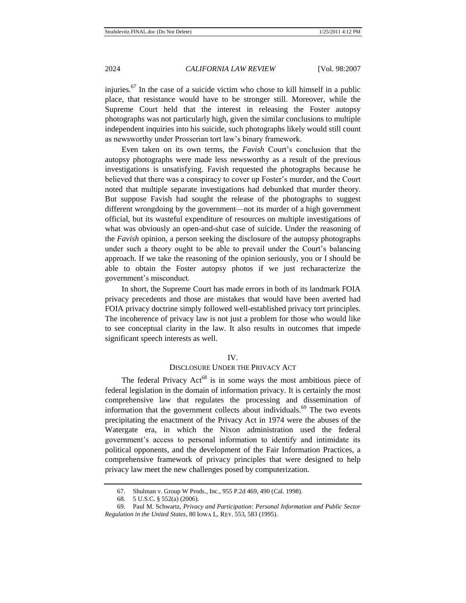injuries.<sup>67</sup> In the case of a suicide victim who chose to kill himself in a public place, that resistance would have to be stronger still. Moreover, while the Supreme Court held that the interest in releasing the Foster autopsy photographs was not particularly high, given the similar conclusions to multiple independent inquiries into his suicide, such photographs likely would still count as newsworthy under Prosserian tort law's binary framework.

Even taken on its own terms, the *Favish* Court's conclusion that the autopsy photographs were made less newsworthy as a result of the previous investigations is unsatisfying. Favish requested the photographs because he believed that there was a conspiracy to cover up Foster's murder, and the Court noted that multiple separate investigations had debunked that murder theory. But suppose Favish had sought the release of the photographs to suggest different wrongdoing by the government—not its murder of a high government official, but its wasteful expenditure of resources on multiple investigations of what was obviously an open-and-shut case of suicide. Under the reasoning of the *Favish* opinion, a person seeking the disclosure of the autopsy photographs under such a theory ought to be able to prevail under the Court's balancing approach. If we take the reasoning of the opinion seriously, you or I should be able to obtain the Foster autopsy photos if we just recharacterize the government's misconduct.

In short, the Supreme Court has made errors in both of its landmark FOIA privacy precedents and those are mistakes that would have been averted had FOIA privacy doctrine simply followed well-established privacy tort principles. The incoherence of privacy law is not just a problem for those who would like to see conceptual clarity in the law. It also results in outcomes that impede significant speech interests as well.

#### IV.

# DISCLOSURE UNDER THE PRIVACY ACT

The federal Privacy  $Act^{68}$  is in some ways the most ambitious piece of federal legislation in the domain of information privacy. It is certainly the most comprehensive law that regulates the processing and dissemination of information that the government collects about individuals.<sup>69</sup> The two events precipitating the enactment of the Privacy Act in 1974 were the abuses of the Watergate era, in which the Nixon administration used the federal government's access to personal information to identify and intimidate its political opponents, and the development of the Fair Information Practices, a comprehensive framework of privacy principles that were designed to help privacy law meet the new challenges posed by computerization.

<sup>67.</sup> Shulman v. Group W Prods., Inc., 955 P.2d 469, 490 (Cal. 1998).

<sup>68.</sup> 5 U.S.C. § 552(a) (2006).

<sup>69.</sup> Paul M. Schwartz, *Privacy and Participation: Personal Information and Public Sector Regulation in the United States, 80 IOWA L. REV. 553, 583 (1995).*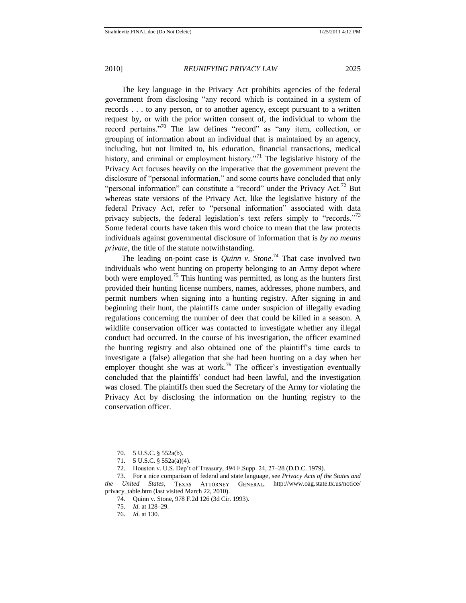<span id="page-18-1"></span><span id="page-18-0"></span>

The key language in the Privacy Act prohibits agencies of the federal government from disclosing "any record which is contained in a system of records . . . to any person, or to another agency, except pursuant to a written request by, or with the prior written consent of, the individual to whom the record pertains."<sup>70</sup> The law defines "record" as "any item, collection, or grouping of information about an individual that is maintained by an agency, including, but not limited to, his education, financial transactions, medical history, and criminal or employment history. $171$  The legislative history of the Privacy Act focuses heavily on the imperative that the government prevent the disclosure of "personal information," and some courts have concluded that only "personal information" can constitute a "record" under the Privacy Act.<sup>72</sup> But whereas state versions of the Privacy Act, like the legislative history of the federal Privacy Act, refer to "personal information" associated with data privacy subjects, the federal legislation's text refers simply to "records."<sup>73</sup> Some federal courts have taken this word choice to mean that the law protects individuals against governmental disclosure of information that is *by no means private*, the title of the statute notwithstanding.

The leading on-point case is *Quinn v. Stone*.<sup>74</sup> That case involved two individuals who went hunting on property belonging to an Army depot where both were employed.<sup>75</sup> This hunting was permitted, as long as the hunters first provided their hunting license numbers, names, addresses, phone numbers, and permit numbers when signing into a hunting registry. After signing in and beginning their hunt, the plaintiffs came under suspicion of illegally evading regulations concerning the number of deer that could be killed in a season. A wildlife conservation officer was contacted to investigate whether any illegal conduct had occurred. In the course of his investigation, the officer examined the hunting registry and also obtained one of the plaintiff's time cards to investigate a (false) allegation that she had been hunting on a day when her employer thought she was at work.<sup>76</sup> The officer's investigation eventually concluded that the plaintiffs' conduct had been lawful, and the investigation was closed. The plaintiffs then sued the Secretary of the Army for violating the Privacy Act by disclosing the information on the hunting registry to the conservation officer.

- 75. *Id*. at 128–29.
- 76. *Id*. at 130.

<sup>70.</sup> 5 U.S.C. § 552a(b).

<sup>71.</sup> 5 U.S.C. § 552a(a)(4).

<sup>72.</sup> Houston v. U.S. Dep't of Treasury, 494 F.Supp. 24, 27–28 (D.D.C. 1979).

<sup>73.</sup> For a nice comparison of federal and state language, see *Privacy Acts of the States and the United States*, TEXAS ATTORNEY GENERAL, http://www.oag.state.tx.us/notice/ privacy\_table.htm (last visited March 22, 2010).

<sup>74.</sup> Quinn v. Stone, 978 F.2d 126 (3d Cir. 1993).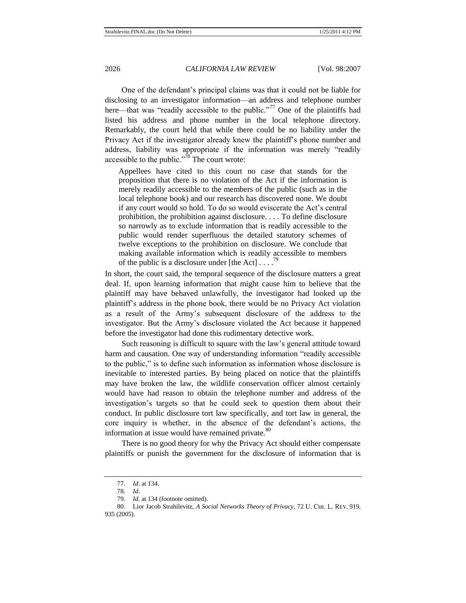One of the defendant's principal claims was that it could not be liable for disclosing to an investigator information—an address and telephone number here—that was "readily accessible to the public."<sup>77</sup> One of the plaintiffs had listed his address and phone number in the local telephone directory. Remarkably, the court held that while there could be no liability under the Privacy Act if the investigator already knew the plaintiff's phone number and address, liability was appropriate if the information was merely "readily accessible to the public."<sup>78</sup> The court wrote:

Appellees have cited to this court no case that stands for the proposition that there is no violation of the Act if the information is merely readily accessible to the members of the public (such as in the local telephone book) and our research has discovered none. We doubt if any court would so hold. To do so would eviscerate the Act's central prohibition, the prohibition against disclosure. . . . To define disclosure so narrowly as to exclude information that is readily accessible to the public would render superfluous the detailed statutory schemes of twelve exceptions to the prohibition on disclosure. We conclude that making available information which is readily accessible to members of the public is a disclosure under [the Act]  $\ldots$ <sup>79</sup>

In short, the court said, the temporal sequence of the disclosure matters a great deal. If, upon learning information that might cause him to believe that the plaintiff may have behaved unlawfully, the investigator had looked up the plaintiff's address in the phone book, there would be no Privacy Act violation as a result of the Army's subsequent disclosure of the address to the investigator. But the Army's disclosure violated the Act because it happened before the investigator had done this rudimentary detective work.

Such reasoning is difficult to square with the law's general attitude toward harm and causation. One way of understanding information "readily accessible to the public,‖ is to define such information as information whose disclosure is inevitable to interested parties. By being placed on notice that the plaintiffs may have broken the law, the wildlife conservation officer almost certainly would have had reason to obtain the telephone number and address of the investigation's targets so that he could seek to question them about their conduct. In public disclosure tort law specifically, and tort law in general, the core inquiry is whether, in the absence of the defendant's actions, the information at issue would have remained private.<sup>80</sup>

There is no good theory for why the Privacy Act should either compensate plaintiffs or punish the government for the disclosure of information that is

<span id="page-19-0"></span><sup>77.</sup> *Id*. at 134.

<sup>78.</sup> *Id*.

<sup>79.</sup> *Id.* at 134 (footnote omitted).

<sup>80.</sup> Lior Jacob Strahilevitz, *A Social Networks Theory of Privacy*, 72 U. CHI. L. REV. 919, 935 (2005).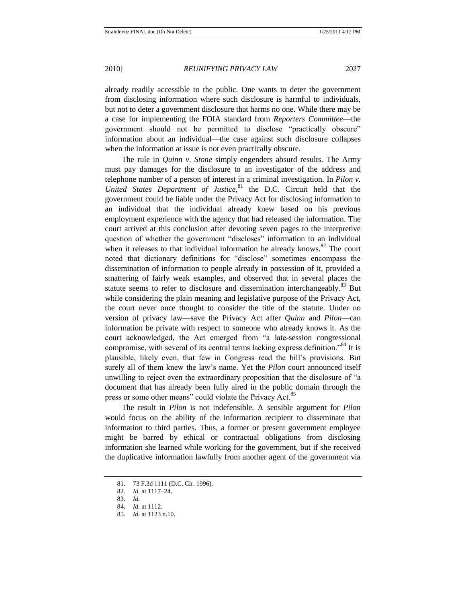already readily accessible to the public. One wants to deter the government from disclosing information where such disclosure is harmful to individuals, but not to deter a government disclosure that harms no one. While there may be a case for implementing the FOIA standard from *Reporters Committee*—the government should not be permitted to disclose "practically obscure" information about an individual—the case against such disclosure collapses when the information at issue is not even practically obscure.

The rule in *Quinn v. Stone* simply engenders absurd results. The Army must pay damages for the disclosure to an investigator of the address and telephone number of a person of interest in a criminal investigation. In *Pilon v. United States Department of Justice*, <sup>81</sup> the D.C. Circuit held that the government could be liable under the Privacy Act for disclosing information to an individual that the individual already knew based on his previous employment experience with the agency that had released the information. The court arrived at this conclusion after devoting seven pages to the interpretive question of whether the government "discloses" information to an individual when it releases to that individual information he already knows.<sup>82</sup> The court noted that dictionary definitions for "disclose" sometimes encompass the dissemination of information to people already in possession of it, provided a smattering of fairly weak examples, and observed that in several places the statute seems to refer to disclosure and dissemination interchangeably.<sup>83</sup> But while considering the plain meaning and legislative purpose of the Privacy Act, the court never once thought to consider the title of the statute. Under no version of privacy law—save the Privacy Act after *Quinn* and *Pilon*—can information be private with respect to someone who already knows it. As the court acknowledged, the Act emerged from "a late-session congressional compromise, with several of its central terms lacking express definition.<sup>84</sup> It is plausible, likely even, that few in Congress read the bill's provisions. But surely all of them knew the law's name. Yet the *Pilon* court announced itself unwilling to reject even the extraordinary proposition that the disclosure of "a document that has already been fully aired in the public domain through the press or some other means" could violate the Privacy Act.<sup>85</sup>

The result in *Pilon* is not indefensible. A sensible argument for *Pilon* would focus on the ability of the information recipient to disseminate that information to third parties. Thus, a former or present government employee might be barred by ethical or contractual obligations from disclosing information she learned while working for the government, but if she received the duplicative information lawfully from another agent of the government via

<sup>81.</sup> 73 F.3d 1111 (D.C. Cir. 1996).

<sup>82.</sup> *Id.* at 1117–24.

<sup>83.</sup> *Id.*

<sup>84.</sup> *Id.* at 1112.

<sup>85.</sup> *Id.* at 1123 n.10.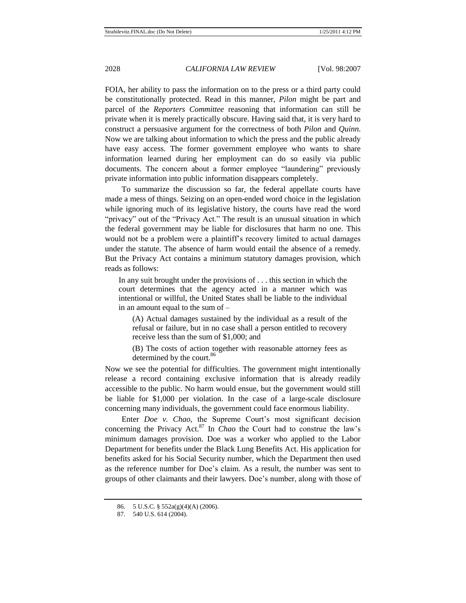FOIA, her ability to pass the information on to the press or a third party could be constitutionally protected. Read in this manner, *Pilon* might be part and parcel of the *Reporters Committee* reasoning that information can still be private when it is merely practically obscure. Having said that, it is very hard to construct a persuasive argument for the correctness of both *Pilon* and *Quinn*. Now we are talking about information to which the press and the public already have easy access. The former government employee who wants to share information learned during her employment can do so easily via public documents. The concern about a former employee "laundering" previously private information into public information disappears completely.

To summarize the discussion so far, the federal appellate courts have made a mess of things. Seizing on an open-ended word choice in the legislation while ignoring much of its legislative history, the courts have read the word "privacy" out of the "Privacy Act." The result is an unusual situation in which the federal government may be liable for disclosures that harm no one. This would not be a problem were a plaintiff's recovery limited to actual damages under the statute. The absence of harm would entail the absence of a remedy. But the Privacy Act contains a minimum statutory damages provision, which reads as follows:

In any suit brought under the provisions of . . . this section in which the court determines that the agency acted in a manner which was intentional or willful, the United States shall be liable to the individual in an amount equal to the sum of –

(A) Actual damages sustained by the individual as a result of the refusal or failure, but in no case shall a person entitled to recovery receive less than the sum of \$1,000; and

<span id="page-21-0"></span>(B) The costs of action together with reasonable attorney fees as determined by the court.<sup>86</sup>

Now we see the potential for difficulties. The government might intentionally release a record containing exclusive information that is already readily accessible to the public. No harm would ensue, but the government would still be liable for \$1,000 per violation. In the case of a large-scale disclosure concerning many individuals, the government could face enormous liability.

Enter *Doe v. Chao*, the Supreme Court's most significant decision concerning the Privacy Act.<sup>87</sup> In *Chao* the Court had to construe the law's minimum damages provision. Doe was a worker who applied to the Labor Department for benefits under the Black Lung Benefits Act. His application for benefits asked for his Social Security number, which the Department then used as the reference number for Doe's claim. As a result, the number was sent to groups of other claimants and their lawyers. Doe's number, along with those of

<sup>86.</sup> 5 U.S.C. § 552a(g)(4)(A) (2006).

<sup>87.</sup> 540 U.S. 614 (2004).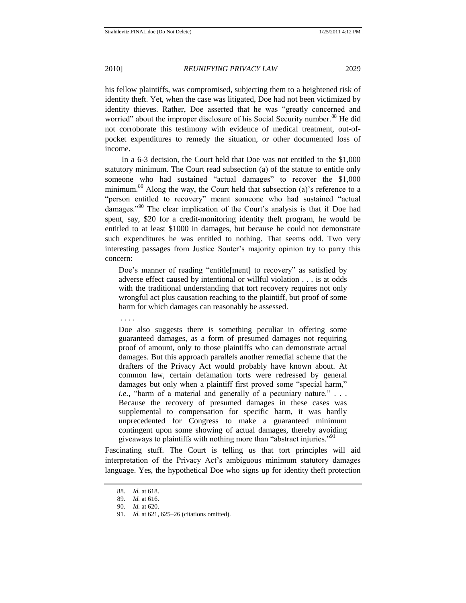his fellow plaintiffs, was compromised, subjecting them to a heightened risk of identity theft. Yet, when the case was litigated, Doe had not been victimized by identity thieves. Rather, Doe asserted that he was "greatly concerned and worried" about the improper disclosure of his Social Security number.<sup>88</sup> He did not corroborate this testimony with evidence of medical treatment, out-ofpocket expenditures to remedy the situation, or other documented loss of income.

In a 6-3 decision, the Court held that Doe was not entitled to the \$1,000 statutory minimum. The Court read subsection (a) of the statute to entitle only someone who had sustained "actual damages" to recover the \$1,000 minimum.<sup>89</sup> Along the way, the Court held that subsection (a)'s reference to a "person entitled to recovery" meant someone who had sustained "actual damages."<sup>90</sup> The clear implication of the Court's analysis is that if Doe had spent, say, \$20 for a credit-monitoring identity theft program, he would be entitled to at least \$1000 in damages, but because he could not demonstrate such expenditures he was entitled to nothing. That seems odd. Two very interesting passages from Justice Souter's majority opinion try to parry this concern:

Doe's manner of reading "entitle[ment] to recovery" as satisfied by adverse effect caused by intentional or willful violation . . . is at odds with the traditional understanding that tort recovery requires not only wrongful act plus causation reaching to the plaintiff, but proof of some harm for which damages can reasonably be assessed.

. . . .

Doe also suggests there is something peculiar in offering some guaranteed damages, as a form of presumed damages not requiring proof of amount, only to those plaintiffs who can demonstrate actual damages. But this approach parallels another remedial scheme that the drafters of the Privacy Act would probably have known about. At common law, certain defamation torts were redressed by general damages but only when a plaintiff first proved some "special harm," *i.e.*, "harm of a material and generally of a pecuniary nature."  $\ldots$ Because the recovery of presumed damages in these cases was supplemental to compensation for specific harm, it was hardly unprecedented for Congress to make a guaranteed minimum contingent upon some showing of actual damages, thereby avoiding giveaways to plaintiffs with nothing more than "abstract injuries."<sup>91</sup>

Fascinating stuff. The Court is telling us that tort principles will aid interpretation of the Privacy Act's ambiguous minimum statutory damages language. Yes, the hypothetical Doe who signs up for identity theft protection

<sup>88.</sup> *Id.* at 618.

<sup>89.</sup> *Id.* at 616.

<sup>90.</sup> *Id.* at 620.

<sup>91.</sup> *Id.* at 621, 625–26 (citations omitted).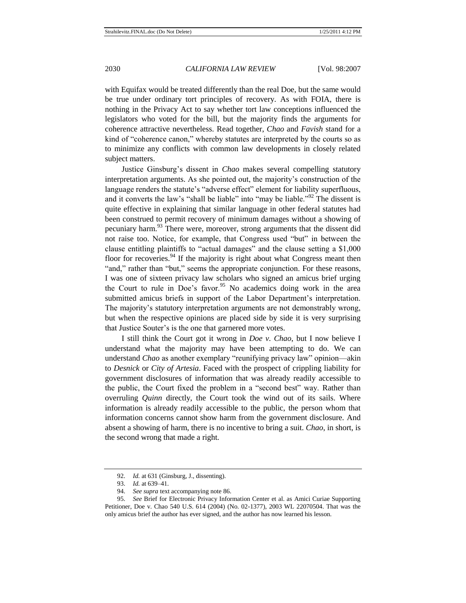with Equifax would be treated differently than the real Doe, but the same would be true under ordinary tort principles of recovery. As with FOIA, there is nothing in the Privacy Act to say whether tort law conceptions influenced the legislators who voted for the bill, but the majority finds the arguments for coherence attractive nevertheless. Read together, *Chao* and *Favish* stand for a kind of "coherence canon," whereby statutes are interpreted by the courts so as to minimize any conflicts with common law developments in closely related subject matters.

Justice Ginsburg's dissent in *Chao* makes several compelling statutory interpretation arguments. As she pointed out, the majority's construction of the language renders the statute's "adverse effect" element for liability superfluous, and it converts the law's "shall be liable" into "may be liable."<sup>92</sup> The dissent is quite effective in explaining that similar language in other federal statutes had been construed to permit recovery of minimum damages without a showing of pecuniary harm.<sup>93</sup> There were, moreover, strong arguments that the dissent did not raise too. Notice, for example, that Congress used "but" in between the clause entitling plaintiffs to "actual damages" and the clause setting a  $$1,000$ floor for recoveries.<sup>94</sup> If the majority is right about what Congress meant then "and," rather than "but," seems the appropriate conjunction. For these reasons, I was one of sixteen privacy law scholars who signed an amicus brief urging the Court to rule in Doe's favor. <sup>95</sup> No academics doing work in the area submitted amicus briefs in support of the Labor Department's interpretation. The majority's statutory interpretation arguments are not demonstrably wrong, but when the respective opinions are placed side by side it is very surprising that Justice Souter's is the one that garnered more votes.

I still think the Court got it wrong in *Doe v. Chao*, but I now believe I understand what the majority may have been attempting to do. We can understand *Chao* as another exemplary "reunifying privacy law" opinion—akin to *Desnick* or *City of Artesia*. Faced with the prospect of crippling liability for government disclosures of information that was already readily accessible to the public, the Court fixed the problem in a "second best" way. Rather than overruling *Quinn* directly, the Court took the wind out of its sails. Where information is already readily accessible to the public, the person whom that information concerns cannot show harm from the government disclosure. And absent a showing of harm, there is no incentive to bring a suit. *Chao*, in short, is the second wrong that made a right.

<sup>92.</sup> *Id.* at 631 (Ginsburg, J., dissenting).

<sup>93.</sup> *Id.* at 639–41.

<sup>94.</sup> *See supra* text accompanying not[e 86.](#page-21-0)

<sup>95.</sup> *See* Brief for Electronic Privacy Information Center et al. as Amici Curiae Supporting Petitioner, Doe v. Chao 540 U.S. 614 (2004) (No. 02-1377), 2003 WL 22070504. That was the only amicus brief the author has ever signed, and the author has now learned his lesson.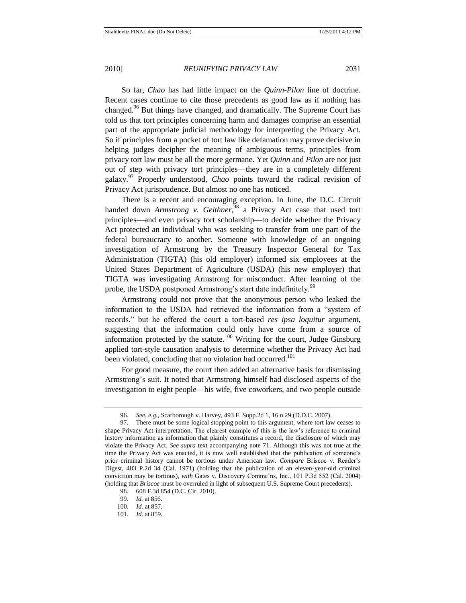So far, *Chao* has had little impact on the *Quinn*-*Pilon* line of doctrine. Recent cases continue to cite those precedents as good law as if nothing has changed.<sup>96</sup> But things have changed, and dramatically. The Supreme Court has told us that tort principles concerning harm and damages comprise an essential part of the appropriate judicial methodology for interpreting the Privacy Act. So if principles from a pocket of tort law like defamation may prove decisive in helping judges decipher the meaning of ambiguous terms, principles from privacy tort law must be all the more germane. Yet *Quinn* and *Pilon* are not just out of step with privacy tort principles—they are in a completely different galaxy.<sup>97</sup> Properly understood, *Chao* points toward the radical revision of Privacy Act jurisprudence. But almost no one has noticed.

There is a recent and encouraging exception. In June, the D.C. Circuit handed down *Armstrong v. Geithner*,<sup>98</sup> a Privacy Act case that used tort principles—and even privacy tort scholarship—to decide whether the Privacy Act protected an individual who was seeking to transfer from one part of the federal bureaucracy to another. Someone with knowledge of an ongoing investigation of Armstrong by the Treasury Inspector General for Tax Administration (TIGTA) (his old employer) informed six employees at the United States Department of Agriculture (USDA) (his new employer) that TIGTA was investigating Armstrong for misconduct. After learning of the probe, the USDA postponed Armstrong's start date indefinitely.<sup>99</sup>

Armstrong could not prove that the anonymous person who leaked the information to the USDA had retrieved the information from a "system of records," but he offered the court a tort-based *res ipsa loquitur* argument, suggesting that the information could only have come from a source of information protected by the statute.<sup>100</sup> Writing for the court, Judge Ginsburg applied tort-style causation analysis to determine whether the Privacy Act had been violated, concluding that no violation had occurred.<sup>101</sup>

For good measure, the court then added an alternative basis for dismissing Armstrong's suit. It noted that Armstrong himself had disclosed aspects of the investigation to eight people—his wife, five coworkers, and two people outside

<sup>96.</sup> *See, e.g.*, Scarborough v. Harvey, 493 F. Supp.2d 1, 16 n.29 (D.D.C. 2007).

<sup>97.</sup> There must be some logical stopping point to this argument, where tort law ceases to shape Privacy Act interpretation. The clearest example of this is the law's reference to criminal history information as information that plainly constitutes a record, the disclosure of which may violate the Privacy Act. *See supra* text accompanying note [71.](#page-18-1) Although this was not true at the time the Privacy Act was enacted, it is now well established that the publication of someone's prior criminal history cannot be tortious under American law. *Compare* Briscoe v. Reader's Digest, 483 P.2d 34 (Cal. 1971) (holding that the publication of an eleven-year-old criminal conviction may be tortious), *with* Gates v. Discovery Commc'ns, Inc., 101 P.3d 552 (Cal. 2004) (holding that *Briscoe* must be overruled in light of subsequent U.S. Supreme Court precedents).

<sup>98.</sup> 608 F.3d 854 (D.C. Cir. 2010).

<sup>99.</sup> *Id.* at 856.

<sup>100.</sup> *Id.* at 857.

<sup>101.</sup> *Id.* at 859.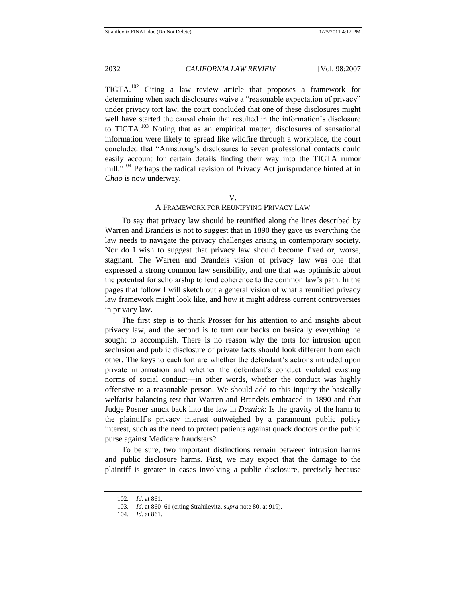TIGTA.<sup>102</sup> Citing a law review article that proposes a framework for determining when such disclosures waive a "reasonable expectation of privacy" under privacy tort law, the court concluded that one of these disclosures might well have started the causal chain that resulted in the information's disclosure to TIGTA.<sup>103</sup> Noting that as an empirical matter, disclosures of sensational information were likely to spread like wildfire through a workplace, the court concluded that ―Armstrong's disclosures to seven professional contacts could easily account for certain details finding their way into the TIGTA rumor mill."<sup>104</sup> Perhaps the radical revision of Privacy Act jurisprudence hinted at in *Chao* is now underway.

#### V.

## A FRAMEWORK FOR REUNIFYING PRIVACY LAW

To say that privacy law should be reunified along the lines described by Warren and Brandeis is not to suggest that in 1890 they gave us everything the law needs to navigate the privacy challenges arising in contemporary society. Nor do I wish to suggest that privacy law should become fixed or, worse, stagnant. The Warren and Brandeis vision of privacy law was one that expressed a strong common law sensibility, and one that was optimistic about the potential for scholarship to lend coherence to the common law's path. In the pages that follow I will sketch out a general vision of what a reunified privacy law framework might look like, and how it might address current controversies in privacy law.

The first step is to thank Prosser for his attention to and insights about privacy law, and the second is to turn our backs on basically everything he sought to accomplish. There is no reason why the torts for intrusion upon seclusion and public disclosure of private facts should look different from each other. The keys to each tort are whether the defendant's actions intruded upon private information and whether the defendant's conduct violated existing norms of social conduct—in other words, whether the conduct was highly offensive to a reasonable person. We should add to this inquiry the basically welfarist balancing test that Warren and Brandeis embraced in 1890 and that Judge Posner snuck back into the law in *Desnick*: Is the gravity of the harm to the plaintiff's privacy interest outweighed by a paramount public policy interest, such as the need to protect patients against quack doctors or the public purse against Medicare fraudsters?

To be sure, two important distinctions remain between intrusion harms and public disclosure harms. First, we may expect that the damage to the plaintiff is greater in cases involving a public disclosure, precisely because

<sup>102.</sup> *Id.* at 861.

<sup>103.</sup> *Id.* at 860–61 (citing Strahilevitz, *supra* not[e 80,](#page-19-0) at 919).

<sup>104.</sup> *Id.* at 861.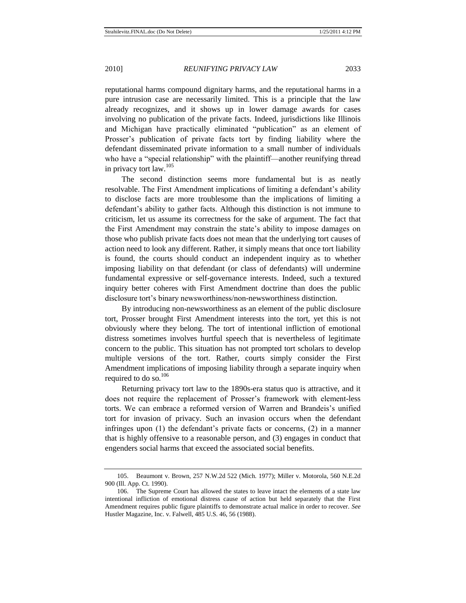reputational harms compound dignitary harms, and the reputational harms in a pure intrusion case are necessarily limited. This is a principle that the law already recognizes, and it shows up in lower damage awards for cases involving no publication of the private facts. Indeed, jurisdictions like Illinois and Michigan have practically eliminated "publication" as an element of Prosser's publication of private facts tort by finding liability where the defendant disseminated private information to a small number of individuals who have a "special relationship" with the plaintiff—another reunifying thread in privacy tort law.<sup>105</sup>

The second distinction seems more fundamental but is as neatly resolvable. The First Amendment implications of limiting a defendant's ability to disclose facts are more troublesome than the implications of limiting a defendant's ability to gather facts. Although this distinction is not immune to criticism, let us assume its correctness for the sake of argument. The fact that the First Amendment may constrain the state's ability to impose damages on those who publish private facts does not mean that the underlying tort causes of action need to look any different. Rather, it simply means that once tort liability is found, the courts should conduct an independent inquiry as to whether imposing liability on that defendant (or class of defendants) will undermine fundamental expressive or self-governance interests. Indeed, such a textured inquiry better coheres with First Amendment doctrine than does the public disclosure tort's binary newsworthiness/non-newsworthiness distinction.

By introducing non-newsworthiness as an element of the public disclosure tort, Prosser brought First Amendment interests into the tort, yet this is not obviously where they belong. The tort of intentional infliction of emotional distress sometimes involves hurtful speech that is nevertheless of legitimate concern to the public. This situation has not prompted tort scholars to develop multiple versions of the tort. Rather, courts simply consider the First Amendment implications of imposing liability through a separate inquiry when required to do so. $106$ 

Returning privacy tort law to the 1890s-era status quo is attractive, and it does not require the replacement of Prosser's framework with element-less torts. We can embrace a reformed version of Warren and Brandeis's unified tort for invasion of privacy. Such an invasion occurs when the defendant infringes upon (1) the defendant's private facts or concerns, (2) in a manner that is highly offensive to a reasonable person, and (3) engages in conduct that engenders social harms that exceed the associated social benefits.

<sup>105.</sup> Beaumont v. Brown, 257 N.W.2d 522 (Mich. 1977); Miller v. Motorola, 560 N.E.2d 900 (Ill. App. Ct. 1990).

<sup>106.</sup> The Supreme Court has allowed the states to leave intact the elements of a state law intentional infliction of emotional distress cause of action but held separately that the First Amendment requires public figure plaintiffs to demonstrate actual malice in order to recover. *See*  Hustler Magazine, Inc. v. Falwell, 485 U.S. 46, 56 (1988).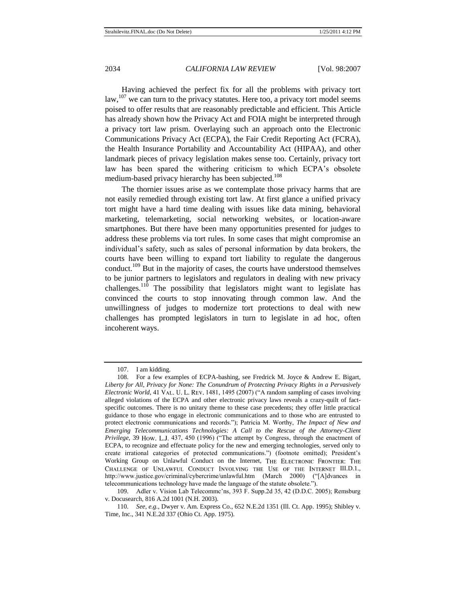Having achieved the perfect fix for all the problems with privacy tort law,  $107$  we can turn to the privacy statutes. Here too, a privacy tort model seems poised to offer results that are reasonably predictable and efficient. This Article has already shown how the Privacy Act and FOIA might be interpreted through a privacy tort law prism. Overlaying such an approach onto the Electronic Communications Privacy Act (ECPA), the Fair Credit Reporting Act (FCRA), the Health Insurance Portability and Accountability Act (HIPAA), and other landmark pieces of privacy legislation makes sense too. Certainly, privacy tort law has been spared the withering criticism to which ECPA's obsolete medium-based privacy hierarchy has been subjected.<sup>108</sup>

The thornier issues arise as we contemplate those privacy harms that are not easily remedied through existing tort law. At first glance a unified privacy tort might have a hard time dealing with issues like data mining, behavioral marketing, telemarketing, social networking websites, or location-aware smartphones. But there have been many opportunities presented for judges to address these problems via tort rules. In some cases that might compromise an individual's safety, such as sales of personal information by data brokers, the courts have been willing to expand tort liability to regulate the dangerous conduct.<sup>109</sup> But in the majority of cases, the courts have understood themselves to be junior partners to legislators and regulators in dealing with new privacy challenges.<sup>110</sup> The possibility that legislators might want to legislate has convinced the courts to stop innovating through common law. And the unwillingness of judges to modernize tort protections to deal with new challenges has prompted legislators in turn to legislate in ad hoc, often incoherent ways.

<sup>107.</sup> I am kidding.

<sup>108.</sup> For a few examples of ECPA-bashing, see Fredrick M. Joyce & Andrew E. Bigart, *Liberty for All, Privacy for None: The Conundrum of Protecting Privacy Rights in a Pervasively Electronic World*, 41 VAL. U. L. REV. 1481, 1495 (2007) ("A random sampling of cases involving alleged violations of the ECPA and other electronic privacy laws reveals a crazy-quilt of factspecific outcomes. There is no unitary theme to these case precedents; they offer little practical guidance to those who engage in electronic communications and to those who are entrusted to protect electronic communications and records."); Patricia M. Worthy, *The Impact of New and Emerging Telecommunications Technologies: A Call to the Rescue of the Attorney-Client Privilege*, 39 How. L.J. 437, 450 (1996) ("The attempt by Congress, through the enactment of ECPA, to recognize and effectuate policy for the new and emerging technologies, served only to create irrational categories of protected communications.") (footnote omitted); President's Working Group on Unlawful Conduct on the Internet, THE ELECTRONIC FRONTIER: THE CHALLENGE OF UNLAWFUL CONDUCT INVOLVING THE USE OF THE INTERNET III.D.1., http://www.justice.gov/criminal/cybercrime/unlawful.htm (March 2000) ("[A]dvances in telecommunications technology have made the language of the statute obsolete.").

<sup>109.</sup> Adler v. Vision Lab Telecommc'ns, 393 F. Supp.2d 35, 42 (D.D.C. 2005); Remsburg v. Docusearch, 816 A.2d 1001 (N.H. 2003).

<sup>110.</sup> *See, e.g.*, Dwyer v. Am. Express Co., 652 N.E.2d 1351 (Ill. Ct. App. 1995); Shibley v. Time, Inc., 341 N.E.2d 337 (Ohio Ct. App. 1975).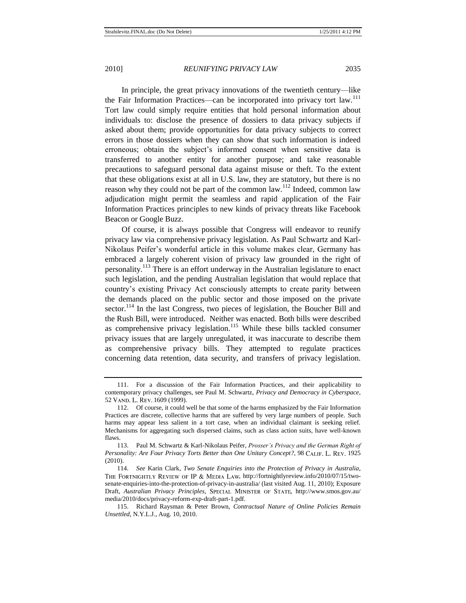In principle, the great privacy innovations of the twentieth century—like the Fair Information Practices—can be incorporated into privacy tort law.<sup>111</sup> Tort law could simply require entities that hold personal information about individuals to: disclose the presence of dossiers to data privacy subjects if asked about them; provide opportunities for data privacy subjects to correct errors in those dossiers when they can show that such information is indeed erroneous; obtain the subject's informed consent when sensitive data is transferred to another entity for another purpose; and take reasonable precautions to safeguard personal data against misuse or theft. To the extent that these obligations exist at all in U.S. law, they are statutory, but there is no reason why they could not be part of the common law.<sup>112</sup> Indeed, common law adjudication might permit the seamless and rapid application of the Fair Information Practices principles to new kinds of privacy threats like Facebook Beacon or Google Buzz.

<span id="page-28-0"></span>Of course, it is always possible that Congress will endeavor to reunify privacy law via comprehensive privacy legislation. As Paul Schwartz and Karl-Nikolaus Peifer's wonderful article in this volume makes clear, Germany has embraced a largely coherent vision of privacy law grounded in the right of personality.<sup>113</sup> There is an effort underway in the Australian legislature to enact such legislation, and the pending Australian legislation that would replace that country's existing Privacy Act consciously attempts to create parity between the demands placed on the public sector and those imposed on the private sector.<sup>114</sup> In the last Congress, two pieces of legislation, the Boucher Bill and the Rush Bill, were introduced. Neither was enacted. Both bills were described as comprehensive privacy legislation.<sup>115</sup> While these bills tackled consumer privacy issues that are largely unregulated, it was inaccurate to describe them as comprehensive privacy bills. They attempted to regulate practices concerning data retention, data security, and transfers of privacy legislation.

<sup>111.</sup> For a discussion of the Fair Information Practices, and their applicability to contemporary privacy challenges, see Paul M. Schwartz, *Privacy and Democracy in Cyberspace*, 52 VAND. L. REV. 1609 (1999).

<sup>112.</sup> Of course, it could well be that some of the harms emphasized by the Fair Information Practices are discrete, collective harms that are suffered by very large numbers of people. Such harms may appear less salient in a tort case, when an individual claimant is seeking relief. Mechanisms for aggregating such dispersed claims, such as class action suits, have well-known flaws.

<sup>113.</sup> Paul M. Schwartz & Karl-Nikolaus Peifer, *Prosser's Privacy and the German Right of Personality: Are Four Privacy Torts Better than One Unitary Concept?*, 98 CALIF. L. REV. 1925 (2010).

<sup>114.</sup> *See* Karin Clark, *Two Senate Enquiries into the Protection of Privacy in Australia*, THE FORTNIGHTLY REVIEW OF IP & MEDIA LAW, http://fortnightlyreview.info/2010/07/15/twosenate-enquiries-into-the-protection-of-privacy-in-australia/ (last visited Aug. 11, 2010); Exposure Draft, *Australian Privacy Principles*, SPECIAL MINISTER OF STATE, http://www.smos.gov.au/ media/2010/docs/privacy-reform-exp-draft-part-1.pdf.

<sup>115.</sup> Richard Raysman & Peter Brown, *Contractual Nature of Online Policies Remain Unsettled*, N.Y.L.J., Aug. 10, 2010.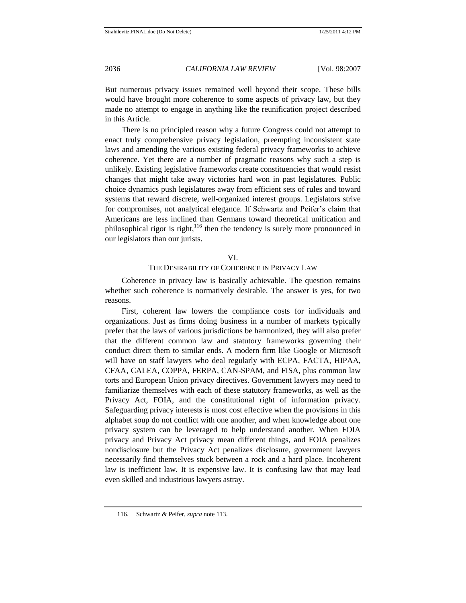But numerous privacy issues remained well beyond their scope. These bills would have brought more coherence to some aspects of privacy law, but they made no attempt to engage in anything like the reunification project described in this Article.

There is no principled reason why a future Congress could not attempt to enact truly comprehensive privacy legislation, preempting inconsistent state laws and amending the various existing federal privacy frameworks to achieve coherence. Yet there are a number of pragmatic reasons why such a step is unlikely. Existing legislative frameworks create constituencies that would resist changes that might take away victories hard won in past legislatures. Public choice dynamics push legislatures away from efficient sets of rules and toward systems that reward discrete, well-organized interest groups. Legislators strive for compromises, not analytical elegance. If Schwartz and Peifer's claim that Americans are less inclined than Germans toward theoretical unification and philosophical rigor is right, $116$  then the tendency is surely more pronounced in our legislators than our jurists.

#### VI.

# THE DESIRABILITY OF COHERENCE IN PRIVACY LAW

Coherence in privacy law is basically achievable. The question remains whether such coherence is normatively desirable. The answer is yes, for two reasons.

First, coherent law lowers the compliance costs for individuals and organizations. Just as firms doing business in a number of markets typically prefer that the laws of various jurisdictions be harmonized, they will also prefer that the different common law and statutory frameworks governing their conduct direct them to similar ends. A modern firm like Google or Microsoft will have on staff lawyers who deal regularly with ECPA, FACTA, HIPAA, CFAA, CALEA, COPPA, FERPA, CAN-SPAM, and FISA, plus common law torts and European Union privacy directives. Government lawyers may need to familiarize themselves with each of these statutory frameworks, as well as the Privacy Act, FOIA, and the constitutional right of information privacy. Safeguarding privacy interests is most cost effective when the provisions in this alphabet soup do not conflict with one another, and when knowledge about one privacy system can be leveraged to help understand another. When FOIA privacy and Privacy Act privacy mean different things, and FOIA penalizes nondisclosure but the Privacy Act penalizes disclosure, government lawyers necessarily find themselves stuck between a rock and a hard place. Incoherent law is inefficient law. It is expensive law. It is confusing law that may lead even skilled and industrious lawyers astray.

<sup>116.</sup> Schwartz & Peifer, *supra* not[e 113.](#page-28-0)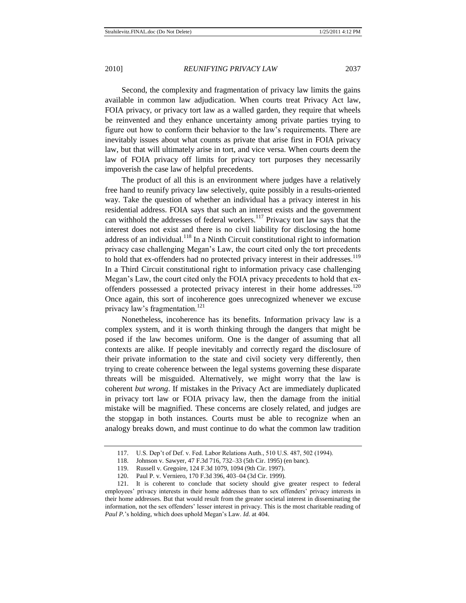Second, the complexity and fragmentation of privacy law limits the gains available in common law adjudication. When courts treat Privacy Act law, FOIA privacy, or privacy tort law as a walled garden, they require that wheels be reinvented and they enhance uncertainty among private parties trying to figure out how to conform their behavior to the law's requirements. There are inevitably issues about what counts as private that arise first in FOIA privacy law, but that will ultimately arise in tort, and vice versa. When courts deem the law of FOIA privacy off limits for privacy tort purposes they necessarily impoverish the case law of helpful precedents.

The product of all this is an environment where judges have a relatively free hand to reunify privacy law selectively, quite possibly in a results-oriented way. Take the question of whether an individual has a privacy interest in his residential address. FOIA says that such an interest exists and the government can withhold the addresses of federal workers.<sup>117</sup> Privacy tort law says that the interest does not exist and there is no civil liability for disclosing the home address of an individual.<sup>118</sup> In a Ninth Circuit constitutional right to information privacy case challenging Megan's Law, the court cited only the tort precedents to hold that ex-offenders had no protected privacy interest in their addresses.<sup>119</sup> In a Third Circuit constitutional right to information privacy case challenging Megan's Law, the court cited only the FOIA privacy precedents to hold that exoffenders possessed a protected privacy interest in their home addresses.<sup>120</sup> Once again, this sort of incoherence goes unrecognized whenever we excuse privacy law's fragmentation.<sup>121</sup>

Nonetheless, incoherence has its benefits. Information privacy law is a complex system, and it is worth thinking through the dangers that might be posed if the law becomes uniform. One is the danger of assuming that all contexts are alike. If people inevitably and correctly regard the disclosure of their private information to the state and civil society very differently, then trying to create coherence between the legal systems governing these disparate threats will be misguided. Alternatively, we might worry that the law is coherent *but wrong*. If mistakes in the Privacy Act are immediately duplicated in privacy tort law or FOIA privacy law, then the damage from the initial mistake will be magnified. These concerns are closely related, and judges are the stopgap in both instances. Courts must be able to recognize when an analogy breaks down, and must continue to do what the common law tradition

<sup>117.</sup> U.S. Dep't of Def. v. Fed. Labor Relations Auth., 510 U.S. 487, 502 (1994).

<sup>118.</sup> Johnson v. Sawyer, 47 F.3d 716, 732–33 (5th Cir. 1995) (en banc).

<sup>119.</sup> Russell v. Gregoire, 124 F.3d 1079, 1094 (9th Cir. 1997).

<sup>120.</sup> Paul P. v. Verniero, 170 F.3d 396, 403–04 (3d Cir. 1999).

<sup>121.</sup> It is coherent to conclude that society should give greater respect to federal employees' privacy interests in their home addresses than to sex offenders' privacy interests in their home addresses. But that would result from the greater societal interest in disseminating the information, not the sex offenders' lesser interest in privacy. This is the most charitable reading of *Paul P.*'s holding, which does uphold Megan's Law. *Id*. at 404.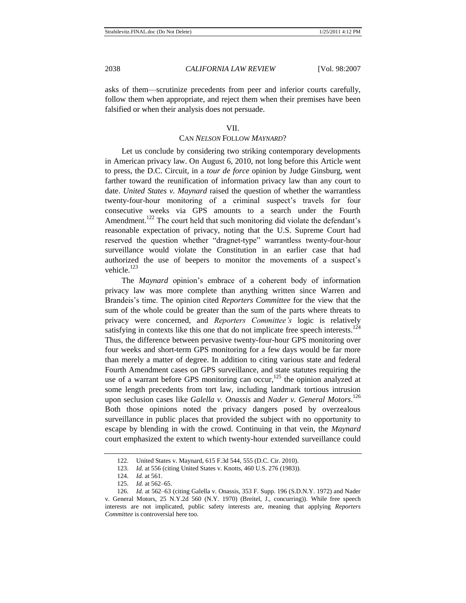asks of them—scrutinize precedents from peer and inferior courts carefully, follow them when appropriate, and reject them when their premises have been falsified or when their analysis does not persuade.

#### VII.

### CAN *NELSON* FOLLOW *MAYNARD*?

Let us conclude by considering two striking contemporary developments in American privacy law. On August 6, 2010, not long before this Article went to press, the D.C. Circuit, in a *tour de force* opinion by Judge Ginsburg, went farther toward the reunification of information privacy law than any court to date. *United States v. Maynard* raised the question of whether the warrantless twenty-four-hour monitoring of a criminal suspect's travels for four consecutive weeks via GPS amounts to a search under the Fourth Amendment.<sup>122</sup> The court held that such monitoring did violate the defendant's reasonable expectation of privacy, noting that the U.S. Supreme Court had reserved the question whether "dragnet-type" warrantless twenty-four-hour surveillance would violate the Constitution in an earlier case that had authorized the use of beepers to monitor the movements of a suspect's vehicle $123$ 

The *Maynard* opinion's embrace of a coherent body of information privacy law was more complete than anything written since Warren and Brandeis's time. The opinion cited *Reporters Committee* for the view that the sum of the whole could be greater than the sum of the parts where threats to privacy were concerned, and *Reporters Committee's* logic is relatively satisfying in contexts like this one that do not implicate free speech interests.<sup>124</sup> Thus, the difference between pervasive twenty-four-hour GPS monitoring over four weeks and short-term GPS monitoring for a few days would be far more than merely a matter of degree. In addition to citing various state and federal Fourth Amendment cases on GPS surveillance, and state statutes requiring the use of a warrant before GPS monitoring can occur,<sup>125</sup> the opinion analyzed at some length precedents from tort law, including landmark tortious intrusion upon seclusion cases like *Galella v. Onassis* and *Nader v. General Motors*. 126 Both those opinions noted the privacy dangers posed by overzealous surveillance in public places that provided the subject with no opportunity to escape by blending in with the crowd. Continuing in that vein, the *Maynard* court emphasized the extent to which twenty-hour extended surveillance could

<sup>122.</sup> United States v. Maynard, 615 F.3d 544, 555 (D.C. Cir. 2010).

<sup>123.</sup> *Id.* at 556 (citing United States v. Knotts, 460 U.S. 276 (1983)).

<sup>124.</sup> *Id.* at 561.

<sup>125.</sup> *Id.* at 562–65.

<sup>126.</sup> *Id.* at 562–63 (citing Galella v. Onassis, 353 F. Supp. 196 (S.D.N.Y. 1972) and Nader v. General Motors, 25 N.Y.2d 560 (N.Y. 1970) (Breitel, J., concurring)). While free speech interests are not implicated, public safety interests are, meaning that applying *Reporters Committee* is controversial here too.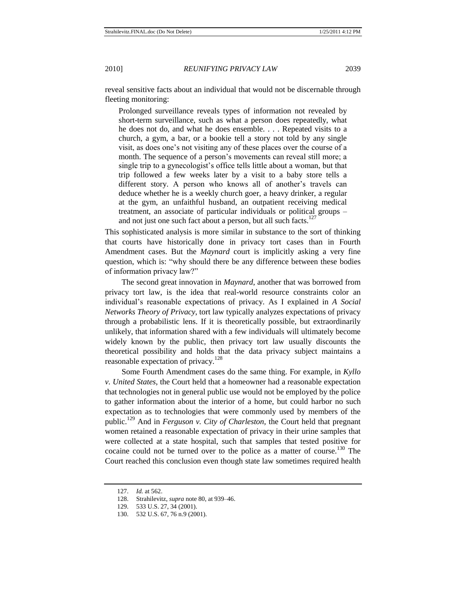reveal sensitive facts about an individual that would not be discernable through fleeting monitoring:

Prolonged surveillance reveals types of information not revealed by short-term surveillance, such as what a person does repeatedly, what he does not do, and what he does ensemble. . . . Repeated visits to a church, a gym, a bar, or a bookie tell a story not told by any single visit, as does one's not visiting any of these places over the course of a month. The sequence of a person's movements can reveal still more; a single trip to a gynecologist's office tells little about a woman, but that trip followed a few weeks later by a visit to a baby store tells a different story. A person who knows all of another's travels can deduce whether he is a weekly church goer, a heavy drinker, a regular at the gym, an unfaithful husband, an outpatient receiving medical treatment, an associate of particular individuals or political groups – and not just one such fact about a person, but all such facts.<sup>127</sup>

This sophisticated analysis is more similar in substance to the sort of thinking that courts have historically done in privacy tort cases than in Fourth Amendment cases. But the *Maynard* court is implicitly asking a very fine question, which is: "why should there be any difference between these bodies of information privacy law?"

The second great innovation in *Maynard*, another that was borrowed from privacy tort law, is the idea that real-world resource constraints color an individual's reasonable expectations of privacy. As I explained in *A Social Networks Theory of Privacy*, tort law typically analyzes expectations of privacy through a probabilistic lens. If it is theoretically possible, but extraordinarily unlikely, that information shared with a few individuals will ultimately become widely known by the public, then privacy tort law usually discounts the theoretical possibility and holds that the data privacy subject maintains a reasonable expectation of privacy.<sup>128</sup>

Some Fourth Amendment cases do the same thing. For example, in *Kyllo v. United States*, the Court held that a homeowner had a reasonable expectation that technologies not in general public use would not be employed by the police to gather information about the interior of a home, but could harbor no such expectation as to technologies that were commonly used by members of the public.<sup>129</sup> And in *Ferguson v. City of Charleston,* the Court held that pregnant women retained a reasonable expectation of privacy in their urine samples that were collected at a state hospital, such that samples that tested positive for cocaine could not be turned over to the police as a matter of course.<sup>130</sup> The Court reached this conclusion even though state law sometimes required health

<sup>127.</sup> *Id.* at 562.

<sup>128.</sup> Strahilevitz, *supra* not[e 80,](#page-19-0) at 939–46.

<sup>129.</sup> 533 U.S. 27, 34 (2001).

<sup>130.</sup> 532 U.S. 67, 76 n.9 (2001).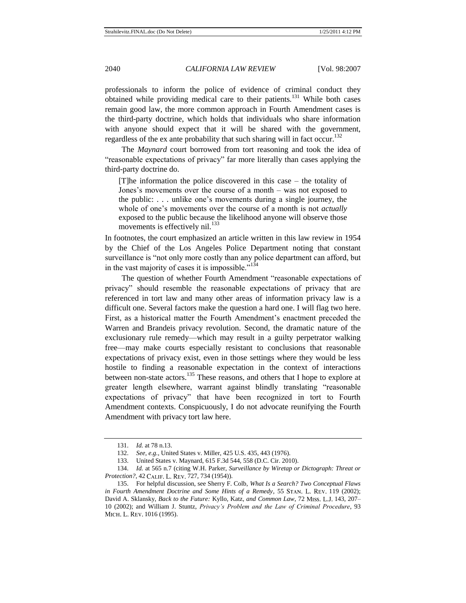professionals to inform the police of evidence of criminal conduct they obtained while providing medical care to their patients.<sup>131</sup> While both cases remain good law, the more common approach in Fourth Amendment cases is the third-party doctrine, which holds that individuals who share information with anyone should expect that it will be shared with the government, regardless of the ex ante probability that such sharing will in fact occur.<sup>132</sup>

The *Maynard* court borrowed from tort reasoning and took the idea of "reasonable expectations of privacy" far more literally than cases applying the third-party doctrine do.

[T]he information the police discovered in this case – the totality of Jones's movements over the course of a month – was not exposed to the public: . . . unlike one's movements during a single journey, the whole of one's movements over the course of a month is not *actually*  exposed to the public because the likelihood anyone will observe those movements is effectively nil.<sup>133</sup>

In footnotes, the court emphasized an article written in this law review in 1954 by the Chief of the Los Angeles Police Department noting that constant surveillance is "not only more costly than any police department can afford, but in the vast majority of cases it is impossible. $134$ 

The question of whether Fourth Amendment "reasonable expectations of privacy‖ should resemble the reasonable expectations of privacy that are referenced in tort law and many other areas of information privacy law is a difficult one. Several factors make the question a hard one. I will flag two here. First, as a historical matter the Fourth Amendment's enactment preceded the Warren and Brandeis privacy revolution. Second, the dramatic nature of the exclusionary rule remedy—which may result in a guilty perpetrator walking free—may make courts especially resistant to conclusions that reasonable expectations of privacy exist, even in those settings where they would be less hostile to finding a reasonable expectation in the context of interactions between non-state actors.<sup>135</sup> These reasons, and others that I hope to explore at greater length elsewhere, warrant against blindly translating "reasonable expectations of privacy" that have been recognized in tort to Fourth Amendment contexts. Conspicuously, I do not advocate reunifying the Fourth Amendment with privacy tort law here.

<sup>131.</sup> *Id.* at 78 n.13.

<sup>132.</sup> *See, e.g.*, United States v. Miller, 425 U.S. 435, 443 (1976).

<sup>133.</sup> United States v. Maynard, 615 F.3d 544, 558 (D.C. Cir. 2010).

<sup>134.</sup> *Id.* at 565 n.7 (citing W.H. Parker, *Surveillance by Wiretap or Dictograph: Threat or Protection?*, 42 CALIF. L. REV. 727, 734 (1954)).

<sup>135.</sup> For helpful discussion, see Sherry F. Colb, *What Is a Search? Two Conceptual Flaws*  in Fourth Amendment Doctrine and Some Hints of a Remedy, 55 STAN. L. REV. 119 (2002); David A. Sklansky, *Back to the Future: Kyllo, Katz, and Common Law, 72 Miss. L.J.* 143, 207– 10 (2002); and William J. Stuntz, *Privacy's Problem and the Law of Criminal Procedure*, 93 MICH. L. REV. 1016 (1995).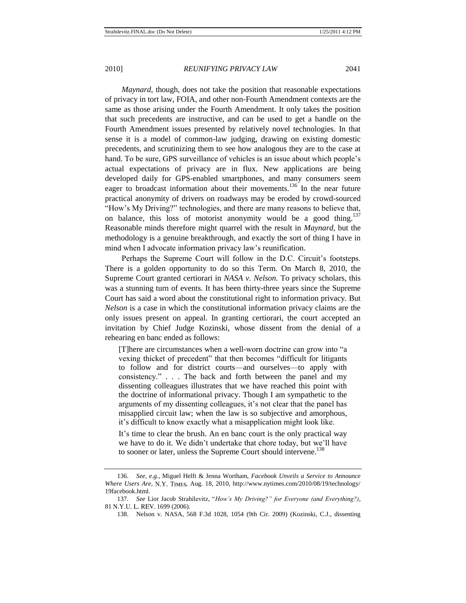*Maynard*, though, does not take the position that reasonable expectations of privacy in tort law, FOIA, and other non-Fourth Amendment contexts are the same as those arising under the Fourth Amendment. It only takes the position that such precedents are instructive, and can be used to get a handle on the Fourth Amendment issues presented by relatively novel technologies. In that sense it is a model of common-law judging, drawing on existing domestic precedents, and scrutinizing them to see how analogous they are to the case at hand. To be sure, GPS surveillance of vehicles is an issue about which people's actual expectations of privacy are in flux. New applications are being developed daily for GPS-enabled smartphones, and many consumers seem eager to broadcast information about their movements.<sup>136</sup> In the near future practical anonymity of drivers on roadways may be eroded by crowd-sourced ―How's My Driving?‖ technologies, and there are many reasons to believe that, on balance, this loss of motorist anonymity would be a good thing.<sup>137</sup> Reasonable minds therefore might quarrel with the result in *Maynard*, but the methodology is a genuine breakthrough, and exactly the sort of thing I have in mind when I advocate information privacy law's reunification.

Perhaps the Supreme Court will follow in the D.C. Circuit's footsteps. There is a golden opportunity to do so this Term. On March 8, 2010, the Supreme Court granted certiorari in *NASA v. Nelson*. To privacy scholars, this was a stunning turn of events. It has been thirty-three years since the Supreme Court has said a word about the constitutional right to information privacy. But *Nelson* is a case in which the constitutional information privacy claims are the only issues present on appeal. In granting certiorari, the court accepted an invitation by Chief Judge Kozinski, whose dissent from the denial of a rehearing en banc ended as follows:

[T]here are circumstances when a well-worn doctrine can grow into "a vexing thicket of precedent" that then becomes "difficult for litigants" to follow and for district courts—and ourselves—to apply with consistency.‖ . . . The back and forth between the panel and my dissenting colleagues illustrates that we have reached this point with the doctrine of informational privacy. Though I am sympathetic to the arguments of my dissenting colleagues, it's not clear that the panel has misapplied circuit law; when the law is so subjective and amorphous, it's difficult to know exactly what a misapplication might look like.

It's time to clear the brush. An en banc court is the only practical way we have to do it. We didn't undertake that chore today, but we'll have to sooner or later, unless the Supreme Court should intervene.<sup>138</sup>

<sup>136.</sup> *See, e.g.*, Miguel Helft & Jenna Wortham, *Facebook Unveils a Service to Announce Where Users Are*, N.Y. TIMES, Aug. 18, 2010, http://www.nytimes.com/2010/08/19/technology/ 19facebook.html.

<sup>137.</sup> See Lior Jacob Strahilevitz, "How's My Driving?" for Everyone (and Everything?), 81 N.Y.U. L. REV. 1699 (2006).

<sup>138.</sup> Nelson v. NASA, 568 F.3d 1028, 1054 (9th Cir. 2009) (Kozinski, C.J., dissenting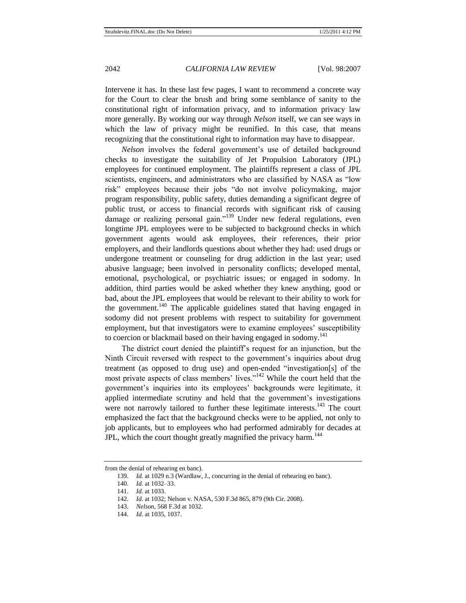Intervene it has. In these last few pages, I want to recommend a concrete way for the Court to clear the brush and bring some semblance of sanity to the constitutional right of information privacy, and to information privacy law more generally. By working our way through *Nelson* itself, we can see ways in which the law of privacy might be reunified. In this case, that means recognizing that the constitutional right to information may have to disappear.

*Nelson* involves the federal government's use of detailed background checks to investigate the suitability of Jet Propulsion Laboratory (JPL) employees for continued employment. The plaintiffs represent a class of JPL scientists, engineers, and administrators who are classified by NASA as "low risk" employees because their jobs "do not involve policymaking, major program responsibility, public safety, duties demanding a significant degree of public trust, or access to financial records with significant risk of causing damage or realizing personal gain."<sup>139</sup> Under new federal regulations, even longtime JPL employees were to be subjected to background checks in which government agents would ask employees, their references, their prior employers, and their landlords questions about whether they had: used drugs or undergone treatment or counseling for drug addiction in the last year; used abusive language; been involved in personality conflicts; developed mental, emotional, psychological, or psychiatric issues; or engaged in sodomy. In addition, third parties would be asked whether they knew anything, good or bad, about the JPL employees that would be relevant to their ability to work for the government.<sup>140</sup> The applicable guidelines stated that having engaged in sodomy did not present problems with respect to suitability for government employment, but that investigators were to examine employees' susceptibility to coercion or blackmail based on their having engaged in sodomy.<sup>141</sup>

The district court denied the plaintiff's request for an injunction, but the Ninth Circuit reversed with respect to the government's inquiries about drug treatment (as opposed to drug use) and open-ended "investigation[s] of the most private aspects of class members' lives."<sup>142</sup> While the court held that the government's inquiries into its employees' backgrounds were legitimate, it applied intermediate scrutiny and held that the government's investigations were not narrowly tailored to further these legitimate interests.<sup>143</sup> The court emphasized the fact that the background checks were to be applied, not only to job applicants, but to employees who had performed admirably for decades at JPL, which the court thought greatly magnified the privacy harm.<sup>144</sup>

from the denial of rehearing en banc).

<sup>139.</sup> *Id.* at 1029 n.3 (Wardlaw, J., concurring in the denial of rehearing en banc).

<sup>140.</sup> *Id.* at 1032–33.

<sup>141.</sup> *Id.* at 1033.

<sup>142.</sup> *Id.* at 1032; Nelson v. NASA, 530 F.3d 865, 879 (9th Cir. 2008).

<sup>143.</sup> *Nelson*, 568 F.3d at 1032.

<sup>144.</sup> *Id.* at 1035, 1037.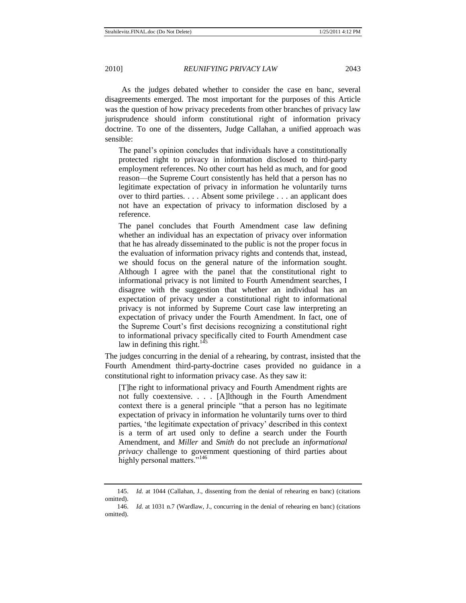As the judges debated whether to consider the case en banc, several disagreements emerged. The most important for the purposes of this Article was the question of how privacy precedents from other branches of privacy law jurisprudence should inform constitutional right of information privacy doctrine. To one of the dissenters, Judge Callahan, a unified approach was sensible:

The panel's opinion concludes that individuals have a constitutionally protected right to privacy in information disclosed to third-party employment references. No other court has held as much, and for good reason—the Supreme Court consistently has held that a person has no legitimate expectation of privacy in information he voluntarily turns over to third parties. . . . Absent some privilege . . . an applicant does not have an expectation of privacy to information disclosed by a reference.

The panel concludes that Fourth Amendment case law defining whether an individual has an expectation of privacy over information that he has already disseminated to the public is not the proper focus in the evaluation of information privacy rights and contends that, instead, we should focus on the general nature of the information sought. Although I agree with the panel that the constitutional right to informational privacy is not limited to Fourth Amendment searches, I disagree with the suggestion that whether an individual has an expectation of privacy under a constitutional right to informational privacy is not informed by Supreme Court case law interpreting an expectation of privacy under the Fourth Amendment. In fact, one of the Supreme Court's first decisions recognizing a constitutional right to informational privacy specifically cited to Fourth Amendment case law in defining this right.<sup>145</sup>

The judges concurring in the denial of a rehearing, by contrast, insisted that the Fourth Amendment third-party-doctrine cases provided no guidance in a constitutional right to information privacy case. As they saw it:

[T]he right to informational privacy and Fourth Amendment rights are not fully coextensive. . . . [A]lthough in the Fourth Amendment context there is a general principle "that a person has no legitimate" expectation of privacy in information he voluntarily turns over to third parties, ‗the legitimate expectation of privacy' described in this context is a term of art used only to define a search under the Fourth Amendment, and *Miller* and *Smith* do not preclude an *informational privacy* challenge to government questioning of third parties about highly personal matters."<sup>146</sup>

<sup>145.</sup> *Id.* at 1044 (Callahan, J., dissenting from the denial of rehearing en banc) (citations omitted).

<sup>146.</sup> *Id.* at 1031 n.7 (Wardlaw, J., concurring in the denial of rehearing en banc) (citations omitted).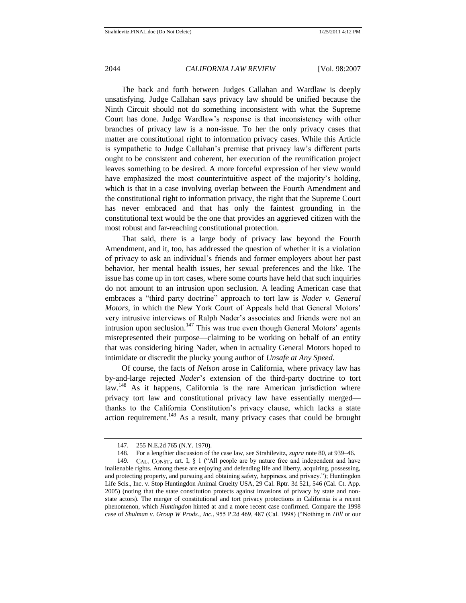The back and forth between Judges Callahan and Wardlaw is deeply unsatisfying. Judge Callahan says privacy law should be unified because the Ninth Circuit should not do something inconsistent with what the Supreme Court has done. Judge Wardlaw's response is that inconsistency with other branches of privacy law is a non-issue. To her the only privacy cases that matter are constitutional right to information privacy cases. While this Article is sympathetic to Judge Callahan's premise that privacy law's different parts ought to be consistent and coherent, her execution of the reunification project leaves something to be desired. A more forceful expression of her view would have emphasized the most counterintuitive aspect of the majority's holding, which is that in a case involving overlap between the Fourth Amendment and the constitutional right to information privacy, the right that the Supreme Court has never embraced and that has only the faintest grounding in the constitutional text would be the one that provides an aggrieved citizen with the most robust and far-reaching constitutional protection.

That said, there is a large body of privacy law beyond the Fourth Amendment, and it, too, has addressed the question of whether it is a violation of privacy to ask an individual's friends and former employers about her past behavior, her mental health issues, her sexual preferences and the like. The issue has come up in tort cases, where some courts have held that such inquiries do not amount to an intrusion upon seclusion. A leading American case that embraces a "third party doctrine" approach to tort law is *Nader v. General Motors*, in which the New York Court of Appeals held that General Motors' very intrusive interviews of Ralph Nader's associates and friends were not an intrusion upon seclusion.<sup>147</sup> This was true even though General Motors' agents misrepresented their purpose—claiming to be working on behalf of an entity that was considering hiring Nader, when in actuality General Motors hoped to intimidate or discredit the plucky young author of *Unsafe at Any Speed*.

Of course, the facts of *Nelson* arose in California, where privacy law has by-and-large rejected *Nader*'s extension of the third-party doctrine to tort law.<sup>148</sup> As it happens, California is the rare American jurisdiction where privacy tort law and constitutional privacy law have essentially merged thanks to the California Constitution's privacy clause, which lacks a state action requirement.<sup>149</sup> As a result, many privacy cases that could be brought

<span id="page-37-0"></span><sup>147.</sup> 255 N.E.2d 765 (N.Y. 1970).

<sup>148.</sup> For a lengthier discussion of the case law, see Strahilevitz, *supra* not[e 80,](#page-19-0) at 939–46.

<sup>149.</sup> CAL. CONST., art. I,  $\S$  1 ("All people are by nature free and independent and have inalienable rights. Among these are enjoying and defending life and liberty, acquiring, possessing, and protecting property, and pursuing and obtaining safety, happiness, and privacy."); Huntingdon Life Scis., Inc. v. Stop Huntingdon Animal Cruelty USA, 29 Cal. Rptr. 3d 521, 546 (Cal. Ct. App. 2005) (noting that the state constitution protects against invasions of privacy by state and nonstate actors). The merger of constitutional and tort privacy protections in California is a recent phenomenon, which *Huntingdon* hinted at and a more recent case confirmed. Compare the 1998 case of *Shulman v. Group W Prods., Inc.*, 955 P.2d 469, 487 (Cal. 1998) ("Nothing in *Hill* or our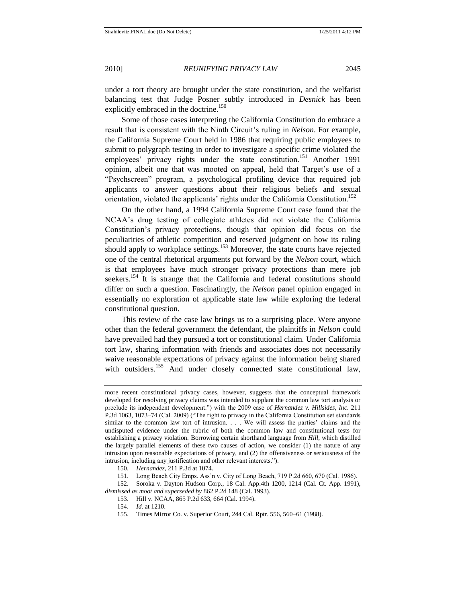under a tort theory are brought under the state constitution, and the welfarist balancing test that Judge Posner subtly introduced in *Desnick* has been explicitly embraced in the doctrine.<sup>150</sup>

Some of those cases interpreting the California Constitution do embrace a result that is consistent with the Ninth Circuit's ruling in *Nelson*. For example, the California Supreme Court held in 1986 that requiring public employees to submit to polygraph testing in order to investigate a specific crime violated the employees' privacy rights under the state constitution.<sup>151</sup> Another 1991 opinion, albeit one that was mooted on appeal, held that Target's use of a "Psychscreen" program, a psychological profiling device that required job applicants to answer questions about their religious beliefs and sexual orientation, violated the applicants' rights under the California Constitution.<sup>152</sup>

On the other hand, a 1994 California Supreme Court case found that the NCAA's drug testing of collegiate athletes did not violate the California Constitution's privacy protections, though that opinion did focus on the peculiarities of athletic competition and reserved judgment on how its ruling should apply to workplace settings.<sup>153</sup> Moreover, the state courts have rejected one of the central rhetorical arguments put forward by the *Nelson* court, which is that employees have much stronger privacy protections than mere job seekers.<sup>154</sup> It is strange that the California and federal constitutions should differ on such a question. Fascinatingly, the *Nelson* panel opinion engaged in essentially no exploration of applicable state law while exploring the federal constitutional question.

This review of the case law brings us to a surprising place. Were anyone other than the federal government the defendant, the plaintiffs in *Nelson* could have prevailed had they pursued a tort or constitutional claim. Under California tort law, sharing information with friends and associates does not necessarily waive reasonable expectations of privacy against the information being shared with outsiders.<sup>155</sup> And under closely connected state constitutional law,

150. *Hernandez*, 211 P.3d at 1074.

151. Long Beach City Emps. Ass'n v. City of Long Beach, 719 P.2d 660, 670 (Cal. 1986).

152. Soroka v. Dayton Hudson Corp., 18 Cal. App.4th 1200, 1214 (Cal. Ct. App. 1991), *dismissed as moot and superseded by* 862 P.2d 148 (Cal. 1993).

- 153. Hill v. NCAA, 865 P.2d 633, 664 (Cal. 1994).
- 154. *Id.* at 1210.
- 155. Times Mirror Co. v. Superior Court, 244 Cal. Rptr. 556, 560–61 (1988).

more recent constitutional privacy cases, however, suggests that the conceptual framework developed for resolving privacy claims was intended to supplant the common law tort analysis or preclude its independent development.‖) with the 2009 case of *Hernandez v. Hillsides, Inc*. 211 P.3d 1063, 1073-74 (Cal. 2009) ("The right to privacy in the California Constitution set standards similar to the common law tort of intrusion. . . . We will assess the parties' claims and the undisputed evidence under the rubric of both the common law and constitutional tests for establishing a privacy violation. Borrowing certain shorthand language from *Hill*, which distilled the largely parallel elements of these two causes of action, we consider (1) the nature of any intrusion upon reasonable expectations of privacy, and (2) the offensiveness or seriousness of the intrusion, including any justification and other relevant interests.").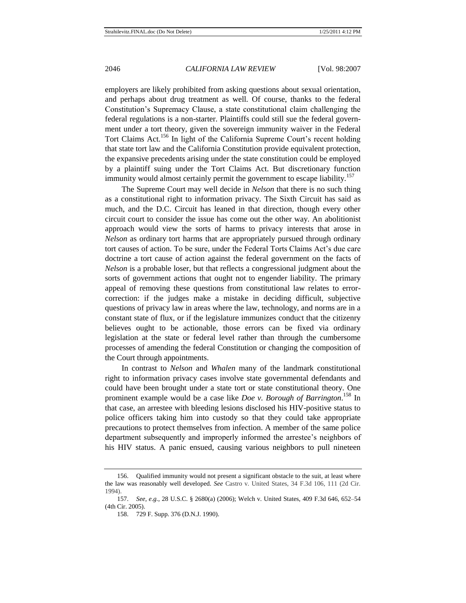employers are likely prohibited from asking questions about sexual orientation, and perhaps about drug treatment as well. Of course, thanks to the federal Constitution's Supremacy Clause, a state constitutional claim challenging the federal regulations is a non-starter. Plaintiffs could still sue the federal government under a tort theory, given the sovereign immunity waiver in the Federal Tort Claims Act.<sup>156</sup> In light of the California Supreme Court's recent holding that state tort law and the California Constitution provide equivalent protection, the expansive precedents arising under the state constitution could be employed by a plaintiff suing under the Tort Claims Act. But discretionary function immunity would almost certainly permit the government to escape liability.<sup>157</sup>

The Supreme Court may well decide in *Nelson* that there is no such thing as a constitutional right to information privacy. The Sixth Circuit has said as much, and the D.C. Circuit has leaned in that direction, though every other circuit court to consider the issue has come out the other way. An abolitionist approach would view the sorts of harms to privacy interests that arose in *Nelson* as ordinary tort harms that are appropriately pursued through ordinary tort causes of action. To be sure, under the Federal Torts Claims Act's due care doctrine a tort cause of action against the federal government on the facts of *Nelson* is a probable loser, but that reflects a congressional judgment about the sorts of government actions that ought not to engender liability. The primary appeal of removing these questions from constitutional law relates to errorcorrection: if the judges make a mistake in deciding difficult, subjective questions of privacy law in areas where the law, technology, and norms are in a constant state of flux, or if the legislature immunizes conduct that the citizenry believes ought to be actionable, those errors can be fixed via ordinary legislation at the state or federal level rather than through the cumbersome processes of amending the federal Constitution or changing the composition of the Court through appointments.

In contrast to *Nelson* and *Whalen* many of the landmark constitutional right to information privacy cases involve state governmental defendants and could have been brought under a state tort or state constitutional theory. One prominent example would be a case like *Doe v. Borough of Barrington*. <sup>158</sup> In that case, an arrestee with bleeding lesions disclosed his HIV-positive status to police officers taking him into custody so that they could take appropriate precautions to protect themselves from infection. A member of the same police department subsequently and improperly informed the arrestee's neighbors of his HIV status. A panic ensued, causing various neighbors to pull nineteen

<sup>156.</sup> Qualified immunity would not present a significant obstacle to the suit, at least where the law was reasonably well developed. *See* Castro v. United States, 34 F.3d 106, 111 (2d Cir. 1994).

<sup>157.</sup> *See, e.g.*, 28 U.S.C. § 2680(a) (2006); Welch v. United States, 409 F.3d 646, 652–54 (4th Cir. 2005).

<sup>158.</sup> 729 F. Supp. 376 (D.N.J. 1990).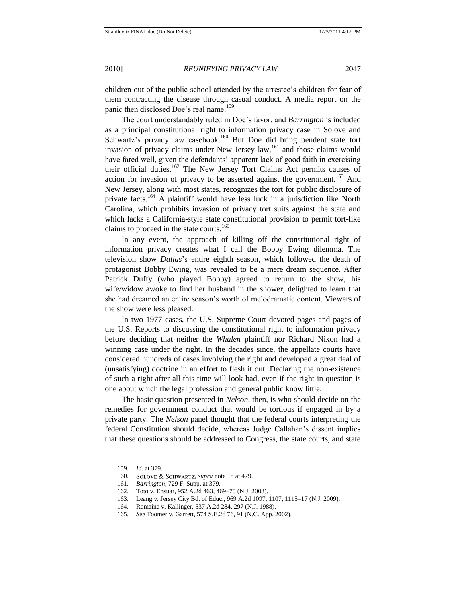children out of the public school attended by the arrestee's children for fear of them contracting the disease through casual conduct. A media report on the panic then disclosed Doe's real name.<sup>159</sup>

The court understandably ruled in Doe's favor, and *Barrington* is included as a principal constitutional right to information privacy case in Solove and Schwartz's privacy law casebook.<sup>160</sup> But Doe did bring pendent state tort invasion of privacy claims under New Jersey law,<sup>161</sup> and those claims would have fared well, given the defendants' apparent lack of good faith in exercising their official duties.<sup>162</sup> The New Jersey Tort Claims Act permits causes of action for invasion of privacy to be asserted against the government.<sup>163</sup> And New Jersey, along with most states, recognizes the tort for public disclosure of private facts.<sup>164</sup> A plaintiff would have less luck in a jurisdiction like North Carolina, which prohibits invasion of privacy tort suits against the state and which lacks a California-style state constitutional provision to permit tort-like claims to proceed in the state courts.<sup>165</sup>

In any event, the approach of killing off the constitutional right of information privacy creates what I call the Bobby Ewing dilemma. The television show *Dallas*'s entire eighth season, which followed the death of protagonist Bobby Ewing, was revealed to be a mere dream sequence. After Patrick Duffy (who played Bobby) agreed to return to the show, his wife/widow awoke to find her husband in the shower, delighted to learn that she had dreamed an entire season's worth of melodramatic content. Viewers of the show were less pleased.

In two 1977 cases, the U.S. Supreme Court devoted pages and pages of the U.S. Reports to discussing the constitutional right to information privacy before deciding that neither the *Whalen* plaintiff nor Richard Nixon had a winning case under the right. In the decades since, the appellate courts have considered hundreds of cases involving the right and developed a great deal of (unsatisfying) doctrine in an effort to flesh it out. Declaring the non-existence of such a right after all this time will look bad, even if the right in question is one about which the legal profession and general public know little.

The basic question presented in *Nelson*, then, is who should decide on the remedies for government conduct that would be tortious if engaged in by a private party. The *Nelson* panel thought that the federal courts interpreting the federal Constitution should decide, whereas Judge Callahan's dissent implies that these questions should be addressed to Congress, the state courts, and state

<sup>159.</sup> *Id.* at 379.

<sup>160.</sup> SOLOVE & SCHWARTZ, *supra* not[e 18](#page-7-0) at 479.

<sup>161.</sup> *Barrington*, 729 F. Supp. at 379.

<sup>162.</sup> Toto v. Ensuar, 952 A.2d 463, 469–70 (N.J. 2008).

<sup>163.</sup> Leang v. Jersey City Bd. of Educ., 969 A.2d 1097, 1107, 1115–17 (N.J. 2009).

<sup>164.</sup> Romaine v. Kallinger, 537 A.2d 284, 297 (N.J. 1988).

<sup>165.</sup> *See* Toomer v. Garrett, 574 S.E.2d 76, 91 (N.C. App. 2002).